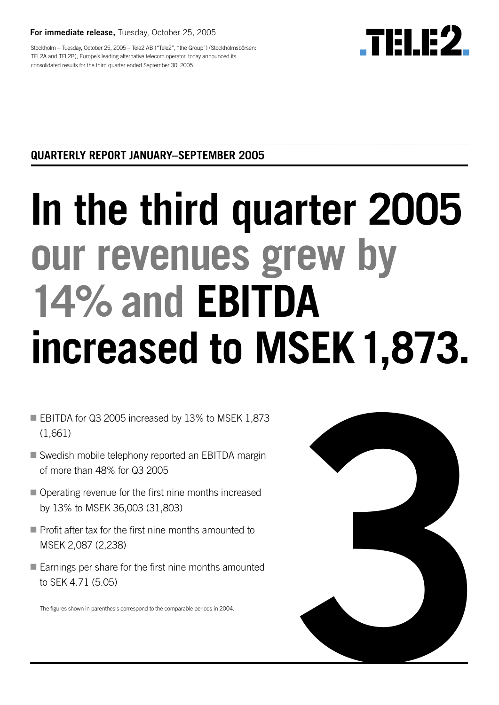**For immediate release ,** Tuesday, October 25, 2005

**.TELE2** 

Stockholm – Tuesday, October 25, 2005 – Tele2 AB ("Tele2", "the Group") (Stockholmsbörsen: TEL2A and TEL2B), Europe's leading alternative telecom operator, today announced its consolidated results for the third quarter ended September 30, 2005.

# **QUARTERLY REPORT JANUARY–SEPTEMBER 2005**

# **In the third quarter 2005 our revenues grew by 14% and EBITDA increased to MSEK1,873 .**

- EBITDA for Q3 2005 increased by 13% to MSEK 1,873 (1,661)
- Swedish mobile telephony reported an EBITDA margin of more than 48% for Q3 2005
- Operating revenue for the first nine months increased by 13% to MSEK 36,003 (31,803)
- Profit after tax for the first nine months amounted to MSEK 2,087 (2,238)
- Earnings per share for the first nine months amounted to SEK 4.71 (5.05)

The figures shown in parenthesis correspond to the comparable periods in 2004.

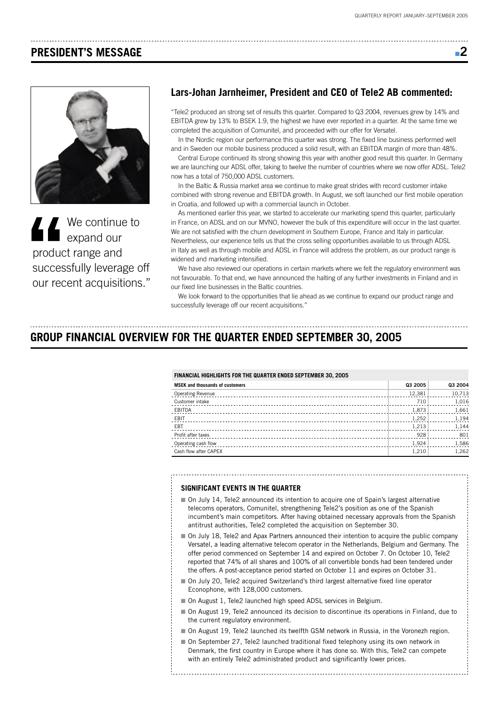## **PRESIDENT'S MESSAGE**



**'' C** We continue to<br>expand our<br>product range and<br>successfully leverage our recent acquisitions **Expand our** product range and successfully leverage off our recent acquisitions."

### **Lars-Johan Jarnheimer, President and CEO of Tele2 AB commented:**

"Tele2 produced an strong set of results this quarter. Compared to Q3 2004, revenues grew by 14% and EBITDA grew by 13% to BSEK 1.9, the highest we have ever reported in a quarter. At the same time we completed the acquisition of Comunitel, and proceeded with our offer for Versatel.

In the Nordic region our performance this quarter was strong. The fixed line business performed well and in Sweden our mobile business produced a solid result, with an EBITDA margin of more than 48%.

Central Europe continued its strong showing this year with another good result this quarter. In Germany we are launching our ADSL offer, taking to twelve the number of countries where we now offer ADSL. Tele2 now has a total of 750,000 ADSL customers.

In the Baltic & Russia market area we continue to make great strides with record customer intake combined with strong revenue and EBITDA growth. In August, we soft launched our first mobile operation in Croatia, and followed up with a commercial launch in October.

As mentioned earlier this year, we started to accelerate our marketing spend this quarter, particularly in France, on ADSL and on our MVNO, however the bulk of this expenditure will occur in the last quarter. We are not satisfied with the churn development in Southern Europe, France and Italy in particular. Nevertheless, our experience tells us that the cross selling opportunities available to us through ADSL in Italy as well as through mobile and ADSL in France will address the problem, as our product range is widened and marketing intensified.

We have also reviewed our operations in certain markets where we felt the regulatory environment was not favourable. To that end, we have announced the halting of any further investments in Finland and in our fixed line businesses in the Baltic countries.

We look forward to the opportunities that lie ahead as we continue to expand our product range and successfully leverage off our recent acquisitions."

# **GROUP FINANCIAL OVERVIEW FOR THE QUARTER ENDED SEPTEMBER 30, 2005**

#### **FINANCIAL HIGHLIGHTS FOR THE QUARTER ENDED SEPTEMBER 30, 2005**

| <b>MSEK</b> and thousands of customers | Q3 2005 | Q3 2004 |
|----------------------------------------|---------|---------|
| <b>Operating Revenue</b>               | 12,381  | 10,713  |
| Customer intake                        | 710     | 1,016   |
| EBITDA                                 | 1,873   | 1,661   |
| EBIT                                   | 1,252   | 1,194   |
| EBT                                    | 1,213   | 1,144   |
| Profit after taxes                     | 928     | 801     |
| Operating cash flow                    | 1.924   | 1,586   |
| Cash flow after CAPEX                  | 1.210   | 1.262   |

#### **SIGNIFICANT EVENTS IN THE QUARTER**

- On July 14, Tele2 announced its intention to acquire one of Spain's largest alternative telecoms operators, Comunitel, strengthening Tele2's position as one of the Spanish incumbent's main competitors. After having obtained necessary approvals from the Spanish antitrust authorities, Tele2 completed the acquisition on September 30.
- On July 18, Tele2 and Apax Partners announced their intention to acquire the public company Versatel, a leading alternative telecom operator in the Netherlands, Belgium and Germany. The offer period commenced on September 14 and expired on October 7. On October 10, Tele2 reported that 74% of all shares and 100% of all convertible bonds had been tendered under the offers. A post-acceptance period started on October 11 and expires on October 31.
- On July 20, Tele2 acquired Switzerland's third largest alternative fixed line operator Econophone, with 128,000 customers.
- On August 1, Tele2 launched high speed ADSL services in Belgium.
- On August 19, Tele2 announced its decision to discontinue its operations in Finland, due to the current regulatory environment.
- On August 19, Tele2 launched its twelfth GSM network in Russia, in the Voronezh region.
- On September 27, Tele2 launched traditional fixed telephony using its own network in Denmark, the first country in Europe where it has done so. With this, Tele2 can compete with an entirely Tele2 administrated product and significantly lower prices.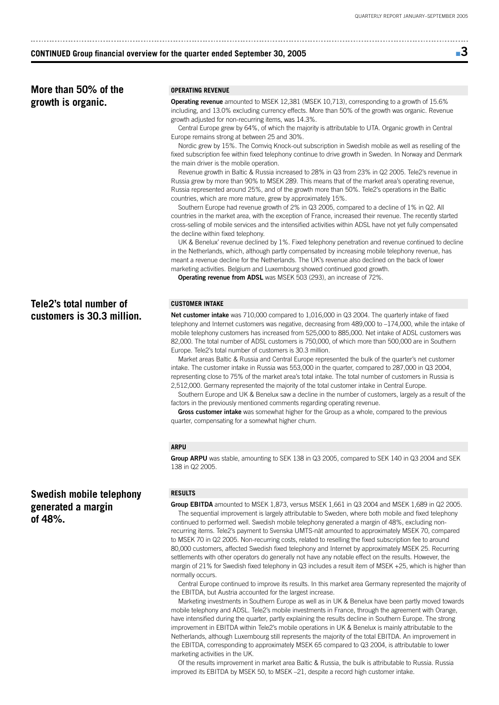#### **CONTINUED Group financial overview for the quarter ended September 30, 2005**

# ■ **3**

**More than 50% of the growth is organic.**

#### **OPERATING REVENUE**

**Operating revenue** amounted to MSEK 12,381 (MSEK 10,713), corresponding to a growth of 15.6% including, and 13.0% excluding currency effects. More than 50% of the growth was organic. Revenue growth adjusted for non-recurring items, was 14.3%.

Central Europe grew by 64%, of which the majority is attributable to UTA. Organic growth in Central Europe remains strong at between 25 and 30%.

Nordic grew by 15%. The Comviq Knock-out subscription in Swedish mobile as well as reselling of the fixed subscription fee within fixed telephony continue to drive growth in Sweden. In Norway and Denmark the main driver is the mobile operation.

Revenue growth in Baltic & Russia increased to 28% in Q3 from 23% in Q2 2005. Tele2's revenue in Russia grew by more than 90% to MSEK 289. This means that of the market area's operating revenue, Russia represented around 25%, and of the growth more than 50%. Tele2's operations in the Baltic countries, which are more mature, grew by approximately 15%.

Southern Europe had revenue growth of 2% in Q3 2005, compared to a decline of 1% in Q2. All countries in the market area, with the exception of France, increased their revenue. The recently started cross-selling of mobile services and the intensified activities within ADSL have not yet fully compensated the decline within fixed telephony.

UK & Benelux' revenue declined by 1%. Fixed telephony penetration and revenue continued to decline in the Netherlands, which, although partly compensated by increasing mobile telephony revenue, has meant a revenue decline for the Netherlands. The UK's revenue also declined on the back of lower marketing activities. Belgium and Luxembourg showed continued good growth.

**Operating revenue from ADSL** was MSEK 503 (293), an increase of 72%.

#### **CUSTOMER INTAKE**

**Net customer intake** was 710,000 compared to 1,016,000 in Q3 2004. The quarterly intake of fixed telephony and Internet customers was negative, decreasing from 489,000 to –174,000, while the intake of mobile telephony customers has increased from 525,000 to 885,000. Net intake of ADSL customers was 82,000. The total number of ADSL customers is 750,000, of which more than 500,000 are in Southern Europe. Tele2's total number of customers is 30.3 million.

Market areas Baltic & Russia and Central Europe represented the bulk of the quarter's net customer intake. The customer intake in Russia was 553,000 in the quarter, compared to 287,000 in Q3 2004, representing close to 75% of the market area's total intake. The total number of customers in Russia is 2,512,000. Germany represented the majority of the total customer intake in Central Europe.

Southern Europe and UK & Benelux saw a decline in the number of customers, largely as a result of the factors in the previously mentioned comments regarding operating revenue.

**Gross customer intake** was somewhat higher for the Group as a whole, compared to the previous quarter, compensating for a somewhat higher churn.

#### **ARPU**

**Group ARPU** was stable, amounting to SEK 138 in Q3 2005, compared to SEK 140 in Q3 2004 and SEK 138 in Q2 2005.

#### **RESULTS**

**Group EBITDA** amounted to MSEK 1,873, versus MSEK 1,661 in Q3 2004 and MSEK 1,689 in Q2 2005. The sequential improvement is largely attributable to Sweden, where both mobile and fixed telephony continued to performed well. Swedish mobile telephony generated a margin of 48%, excluding nonrecurring items. Tele2's payment to Svenska UMTS-nät amounted to approximately MSEK 70, compared to MSEK 70 in Q2 2005. Non-recurring costs, related to reselling the fixed subscription fee to around 80,000 customers, affected Swedish fixed telephony and Internet by approximately MSEK 25. Recurring settlements with other operators do generally not have any notable effect on the results. However, the margin of 21% for Swedish fixed telephony in Q3 includes a result item of MSEK +25, which is higher than normally occurs.

Central Europe continued to improve its results. In this market area Germany represented the majority of the EBITDA, but Austria accounted for the largest increase.

Marketing investments in Southern Europe as well as in UK & Benelux have been partly moved towards mobile telephony and ADSL. Tele2's mobile investments in France, through the agreement with Orange, have intensified during the quarter, partly explaining the results decline in Southern Europe. The strong improvement in EBITDA within Tele2's mobile operations in UK & Benelux is mainly attributable to the Netherlands, although Luxembourg still represents the majority of the total EBITDA. An improvement in the EBITDA, corresponding to approximately MSEK 65 compared to Q3 2004, is attributable to lower marketing activities in the UK.

Of the results improvement in market area Baltic & Russia, the bulk is attributable to Russia. Russia improved its EBITDA by MSEK 50, to MSEK –21, despite a record high customer intake.

## **Tele2's total number of customers is 30.3 million.**

## **Swedish mobile telephony generated a margin of 48%.**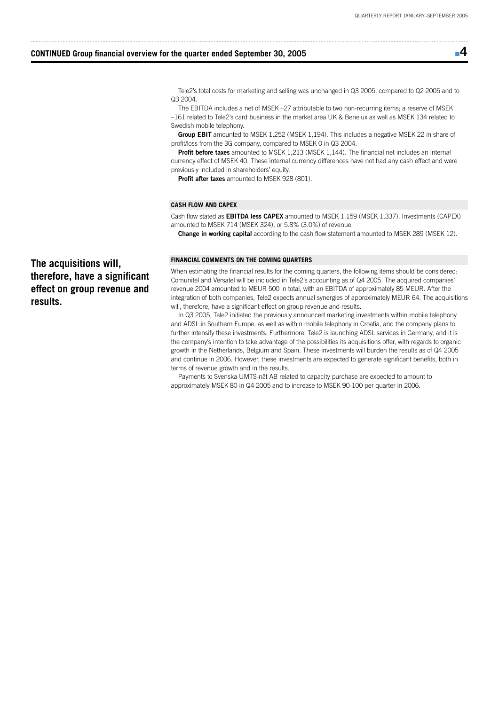■ **4** 

#### **CONTINUED Group financial overview for the quarter ended September 30, 2005**

Tele2's total costs for marketing and selling was unchanged in Q3 2005, compared to Q2 2005 and to Q3 2004.

The EBITDA includes a net of MSEK –27 attributable to two non-recurring items; a reserve of MSEK –161 related to Tele2's card business in the market area UK & Benelux as well as MSEK 134 related to Swedish mobile telephony.

**Group EBIT** amounted to MSEK 1,252 (MSEK 1,194). This includes a negative MSEK 22 in share of profit/loss from the 3G company, compared to MSEK 0 in Q3 2004.

**Profit before taxes** amounted to MSEK 1,213 (MSEK 1,144). The financial net includes an internal currency effect of MSEK 40. These internal currency differences have not had any cash effect and were previously included in shareholders' equity.

**Profit after taxes** amounted to MSEK 928 (801).

#### **CASH FLOW AND CAPEX**

Cash flow stated as **EBITDA less CAPEX** amounted to MSEK 1,159 (MSEK 1,337). Investments (CAPEX) amounted to MSEK 714 (MSEK 324), or 5.8% (3.0%) of revenue.

**Change in working capital** according to the cash flow statement amounted to MSEK 289 (MSEK 12).

#### **FINANCIAL COMMENTS ON THE COMING QUARTERS**

When estimating the financial results for the coming quarters, the following items should be considered: Comunitel and Versatel will be included in Tele2's accounting as of Q4 2005. The acquired companies' revenue 2004 amounted to MEUR 500 in total, with an EBITDA of approximately 85 MEUR. After the integration of both companies, Tele2 expects annual synergies of approximately MEUR 64. The acquisitions will, therefore, have a significant effect on group revenue and results.

In Q3 2005, Tele2 initiated the previously announced marketing investments within mobile telephony and ADSL in Southern Europe, as well as within mobile telephony in Croatia, and the company plans to further intensify these investments. Furthermore, Tele2 is launching ADSL services in Germany, and it is the company's intention to take advantage of the possibilities its acquisitions offer, with regards to organic growth in the Netherlands, Belgium and Spain. These investments will burden the results as of Q4 2005 and continue in 2006. However, these investments are expected to generate significant benefits, both in terms of revenue growth and in the results.

Payments to Svenska UMTS-nät AB related to capacity purchase are expected to amount to approximately MSEK 80 in Q4 2005 and to increase to MSEK 90-100 per quarter in 2006.

**The acquisitions will, therefore, have a significant effect on group revenue and results.**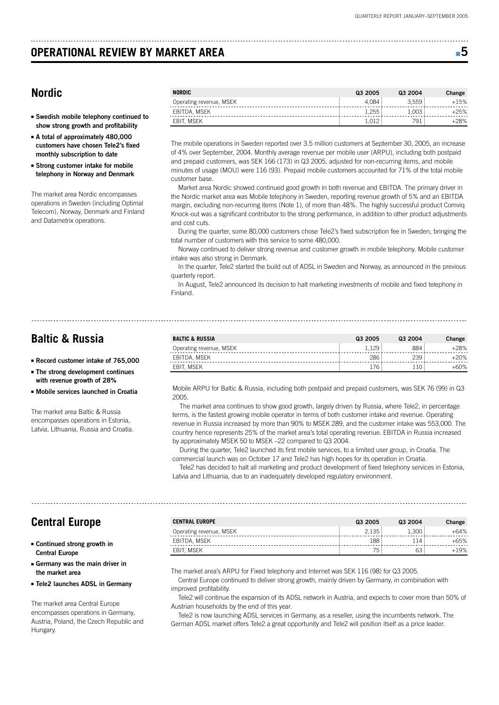## **OPERATIONAL REVIEW BY MARKET AREA** ■ **5**

## **Nordic**

- **Swedish mobile telephony continued to show strong growth and profitability**
- **A total of approximately 480,000 customers have chosen Tele2's fixed monthly subscription to date**
- **Strong customer intake for mobile telephony in Norway and Denmark**

The market area Nordic encompasses operations in Sweden (including Optimal Telecom), Norway, Denmark and Finland and Datametrix operations.

| <b>NORDIC</b>           | Q3 2005 | Q3 2004 | Change |
|-------------------------|---------|---------|--------|
| Operating revenue, MSEK | 4.084   | 3.559   | $+15%$ |
| EBITDA, MSEK            | .255    | 1.003   | +25%   |
| EBIT. MSEK              |         | 791     | 28%    |

The mobile operations in Sweden reported over 3.5 million customers at September 30, 2005, an increase of 4% over September, 2004. Monthly average revenue per mobile user (ARPU), including both postpaid and prepaid customers, was SEK 166 (173) in Q3 2005, adjusted for non-recurring items, and mobile minutes of usage (MOU) were 116 (93). Prepaid mobile customers accounted for 71% of the total mobile customer base.

Market area Nordic showed continued good growth in both revenue and EBITDA. The primary driver in the Nordic market area was Mobile telephony in Sweden, reporting revenue growth of 5% and an EBITDA margin, excluding non-recurring items (Note 1), of more than 48%. The highly successful product Comviq Knock-out was a significant contributor to the strong performance, in addition to other product adjustments and cost cuts.

During the quarter, some 80,000 customers chose Tele2's fixed subscription fee in Sweden, bringing the total number of customers with this service to some 480,000.

Norway continued to deliver strong revenue and customer growth in mobile telephony. Mobile customer intake was also strong in Denmark.

In the quarter, Tele2 started the build out of ADSL in Sweden and Norway, as announced in the previous quarterly report.

In August, Tele2 announced its decision to halt marketing investments of mobile and fixed telephony in Finland.

## **Baltic & Russia**

- **Record customer intake of 765,000**
- **The strong development continues with revenue growth of 28%**
- **Mobile services launched in Croatia**

The market area Baltic & Russia encompasses operations in Estonia, Latvia, Lithuania, Russia and Croatia.

| <b>BALTIC &amp; RUSSIA</b> | Q3 2005 | Q3 2004 | Change |
|----------------------------|---------|---------|--------|
| Operating revenue, MSEK    | 129     | 884     | $+28%$ |
| EBITDA, MSEK               | 286     | 239     | $+20%$ |
| EBIT. MSEK                 | 176     |         | +60%   |

Mobile ARPU for Baltic & Russia, including both postpaid and prepaid customers, was SEK 76 (99) in Q3 2005.

The market area continues to show good growth, largely driven by Russia, where Tele2, in percentage terms, is the fastest growing mobile operator in terms of both customer intake and revenue. Operating revenue in Russia increased by more than 90% to MSEK 289, and the customer intake was 553,000. The country hence represents 25% of the market area's total operating revenue. EBITDA in Russia increased by approximately MSEK 50 to MSEK –22 compared to Q3 2004.

During the quarter, Tele2 launched its first mobile services, to a limited user group, in Croatia. The commercial launch was on October 17 and Tele2 has high hopes for its operation in Croatia.

Tele2 has decided to halt all marketing and product development of fixed telephony services in Estonia, Latvia and Lithuania, due to an inadequately developed regulatory environment.

## **Central Europe**

- **Continued strong growth in Central Europe**
- **Germany was the main driver in the market area**
- **Tele2 launches ADSL in Germany**

The market area Central Europe encompasses operations in Germany, Austria, Poland, the Czech Republic and Hungary.

| <b>CENTRAL EUROPE</b>   | Q3 2005 | Q3 2004 | Change |
|-------------------------|---------|---------|--------|
| Operating revenue, MSEK | 2.135   | 1.300   | $+64%$ |
| EBITDA, MSEK            | 188     | 114     | +65%   |
| EBIT. MSEK              | 75.     | 63      | +19%   |

The market area's ARPU for Fixed telephony and Internet was SEK 116 (98) for Q3 2005.

Central Europe continued to deliver strong growth, mainly driven by Germany, in combination with improved profitability.

Tele2 will continue the expansion of its ADSL network in Austria, and expects to cover more than 50% of Austrian households by the end of this year.

Tele2 is now launching ADSL services in Germany, as a reseller, using the incumbents network. The German ADSL market offers Tele2 a great opportunity and Tele2 will position itself as a price leader.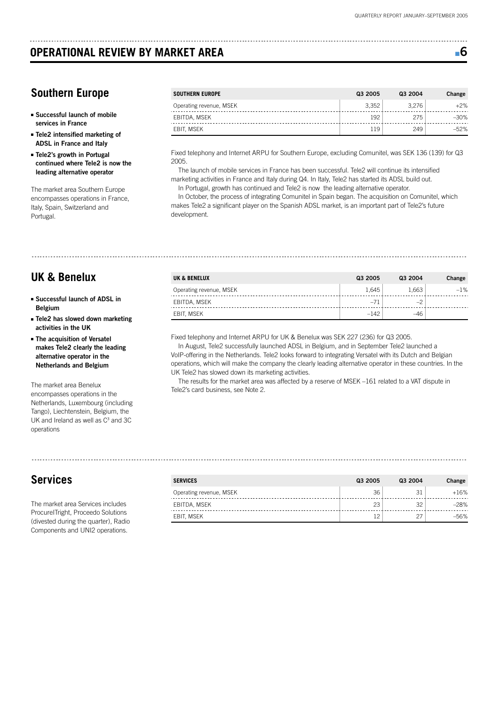## **OPERATIONAL REVIEW BY MARKET AREA** ■ **6 6 6**

## **Southern Europe**

- **Successful launch of mobile services in France**
- **Tele2 intensified marketing of ADSL in France and Italy**
- **Tele2's growth in Portugal continued where Tele2 is now the leading alternative operator**

The market area Southern Europe encompasses operations in France, Italy, Spain, Switzerland and Portugal.

| SOUTHERN EUROPE         | Q3 2005 | Q3 2004 | Change |
|-------------------------|---------|---------|--------|
| Operating revenue, MSEK | 3.352   | 3.276   | $+2\%$ |
| EBITDA, MSEK            | 192     | 275     | $-30%$ |
| EBIT. MSEK              | 119     | 249     | $-52%$ |

Fixed telephony and Internet ARPU for Southern Europe, excluding Comunitel, was SEK 136 (139) for Q3 2005.

The launch of mobile services in France has been successful. Tele2 will continue its intensified marketing activities in France and Italy during Q4. In Italy, Tele2 has started its ADSL build out.

In Portugal, growth has continued and Tele2 is now the leading alternative operator.

In October, the process of integrating Comunitel in Spain began. The acquisition on Comunitel, which makes Tele2 a significant player on the Spanish ADSL market, is an important part of Tele2's future development.

## **UK & Benelux**

- **Successful launch of ADSL in Belgium**
- **Tele2 has slowed down marketing activities in the UK**
- **The acquisition of Versatel makes Tele2 clearly the leading alternative operator in the Netherlands and Belgium**

The market area Benelux encompasses operations in the Netherlands, Luxembourg (including Tango), Liechtenstein, Belgium, the UK and Ireland as well as  $C<sup>3</sup>$  and  $3C$ operations

# **Services**

The market area Services includes ProcureITright, Proceedo Solutions (divested during the quarter), Radio Components and UNI2 operations.

| <b>UK &amp; BENELUX</b> | Q3 2005 | Q3 2004 | Change |
|-------------------------|---------|---------|--------|
| Operating revenue, MSEK | 1.645   | 1.663   | $-1\%$ |
| EBITDA, MSEK            | $-71$   | $-2$    |        |
| EBIT. MSEK              | $-142$  | -46     |        |

Fixed telephony and Internet ARPU for UK & Benelux was SEK 227 (236) for Q3 2005.

In August, Tele2 successfully launched ADSL in Belgium, and in September Tele2 launched a VoIP-offering in the Netherlands. Tele2 looks forward to integrating Versatel with its Dutch and Belgian operations, which will make the company the clearly leading alternative operator in these countries. In the UK Tele2 has slowed down its marketing activities.

The results for the market area was affected by a reserve of MSEK –161 related to a VAT dispute in Tele2's card business, see Note 2.

| <b>SERVICES</b>         | Q3 2005 | Q3 2004 | Change |
|-------------------------|---------|---------|--------|
| Operating revenue, MSEK | 36      | 31      | $+16%$ |
| EBITDA, MSEK            | 23      | 32      | $-28%$ |
| EBIT. MSEK              | 12      | 27      | $-56%$ |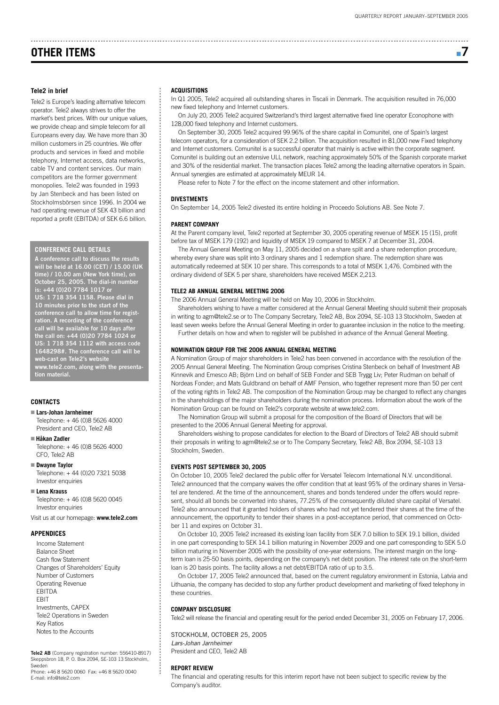## **OTHER ITEMS** ■ **7**

#### **Tele2 in brief**

Tele2 is Europe's leading alternative telecom operator. Tele2 always strives to offer the market's best prices. With our unique values we provide cheap and simple telecom for all Europeans every day. We have more than 30 million customers in 25 countries. We offer products and services in fixed and mobile telephony, Internet access, data networks, cable TV and content services. Our main competitors are the former government monopolies. Tele2 was founded in 1993 by Jan Stenbeck and has been listed on Stockholmsbörsen since 1996. In 2004 we had operating revenue of SEK 43 billion and reported a profit (EBITDA) of SEK 6.6 billion.

#### **CONFERENCE CALL DETAILS**

**A conference call to discuss the results will be held at 16.00 (CET) / 15.00 (UK time) / 10.00 am (New York time), on October 25, 2005. The dial-in number is: +44 (0)20 7784 1017 or US: 1 718 354 1158. Please dial in 10 minutes prior to the start of the conference call to allow time for registration. A recording of the conference call will be available for 10 days after the call on: +44 (0)20 7784 1024 or US: 1 718 354 1112 with access code 1648298#. The conference call will be web-cast on Tele2's website www.tele2.com, along with the presentation material.**

#### **CONTACTS**

#### ■ **Lars-Johan Jarnheimer**

Telephone: + 46 (0)8 5626 4000 President and CEO, Tele2 AB

■ **Håkan Zadler** Telephone: + 46 (0)8 5626 4000

CFO, Tele2 AB ■ **Dwayne Taylor**

Telephone: + 44 (0)20 7321 5038 Investor enquiries

#### ■ **Lena Krauss**

Telephone: + 46 (0)8 5620 0045 Investor enquiries

Visit us at our homepage: **www.tele2.com** 

#### **APPENDICES**

Income Statement Balance Sheet Cash flow Statement Changes of Shareholders' Equity Number of Customers Operating Revenue EBITDA EBIT Investments, CAPEX Tele2 Operations in Sweden Key Ratios Notes to the Accounts

**Tele2 AB** (Company registration number: 556410-8917) Skeppsbron 18, P. O. Box 2094, SE-103 13 Stockholm, Sweden

Phone: +46 8 5620 0060 Fax: +46 8 5620 0040 E-mail: info@tele2.com

#### **ACQUISITIONS**

In Q1 2005, Tele2 acquired all outstanding shares in Tiscali in Denmark. The acquisition resulted in 76,000 new fixed telephony and Internet customers.

On July 20, 2005 Tele2 acquired Switzerland's third largest alternative fixed line operator Econophone with 128,000 fixed telephony and Internet customers.

On September 30, 2005 Tele2 acquired 99.96% of the share capital in Comunitel, one of Spain's largest telecom operators, for a consideration of SEK 2.2 billion. The acquisition resulted in 81,000 new Fixed telephony and Internet customers. Comunitel is a successful operator that mainly is active within the corporate segment. Comunitel is building out an extensive ULL network, reaching approximately 50% of the Spanish corporate market and 30% of the residential market. The transaction places Tele2 among the leading alternative operators in Spain. Annual synergies are estimated at approximately MEUR 14.

Please refer to Note 7 for the effect on the income statement and other information.

#### **DIVESTMENTS**

On September 14, 2005 Tele2 divested its entire holding in Proceedo Solutions AB. See Note 7.

#### **PARENT COMPANY**

At the Parent company level, Tele2 reported at September 30, 2005 operating revenue of MSEK 15 (15), profit before tax of MSEK 179 (192) and liquidity of MSEK 19 compared to MSEK 7 at December 31, 2004.

The Annual General Meeting on May 11, 2005 decided on a share split and a share redemption procedure, whereby every share was split into 3 ordinary shares and 1 redemption share. The redemption share was automatically redeemed at SEK 10 per share. This corresponds to a total of MSEK 1,476. Combined with the ordinary dividend of SEK 5 per share, shareholders have received MSEK 2,213.

#### **TELE2 AB ANNUAL GENERAL MEETING 2006**

The 2006 Annual General Meeting will be held on May 10, 2006 in Stockholm.

Shareholders wishing to have a matter considered at the Annual General Meeting should submit their proposals in writing to agm@tele2.se or to The Company Secretary, Tele2 AB, Box 2094, SE-103 13 Stockholm, Sweden at least seven weeks before the Annual General Meeting in order to guarantee inclusion in the notice to the meeting.

Further details on how and when to register will be published in advance of the Annual General Meeting.

#### **NOMINATION GROUP FOR THE 2006 ANNUAL GENERAL MEETING**

A Nomination Group of major shareholders in Tele2 has been convened in accordance with the resolution of the 2005 Annual General Meeting. The Nomination Group comprises Cristina Stenbeck on behalf of Investment AB Kinnevik and Emesco AB; Björn Lind on behalf of SEB Fonder and SEB Trygg Liv; Peter Rudman on behalf of Nordeas Fonder; and Mats Guldbrand on behalf of AMF Pension, who together represent more than 50 per cent of the voting rights in Tele2 AB. The composition of the Nomination Group may be changed to reflect any changes in the shareholdings of the major shareholders during the nomination process. Information about the work of the Nomination Group can be found on Tele2's corporate website at www.tele2.com.

The Nomination Group will submit a proposal for the composition of the Board of Directors that will be presented to the 2006 Annual General Meeting for approval.

Shareholders wishing to propose candidates for election to the Board of Directors of Tele2 AB should submit their proposals in writing to agm@tele2.se or to The Company Secretary, Tele2 AB, Box 2094, SE-103 13 Stockholm, Sweden.

#### **EVENTS POST SEPTEMBER 30, 2005**

On October 10, 2005 Tele2 declared the public offer for Versatel Telecom International N.V. unconditional. Tele2 announced that the company waives the offer condition that at least 95% of the ordinary shares in Versatel are tendered. At the time of the announcement, shares and bonds tendered under the offers would represent, should all bonds be converted into shares, 77.25% of the consequently diluted share capital of Versatel. Tele2 also announced that it granted holders of shares who had not yet tendered their shares at the time of the announcement, the opportunity to tender their shares in a post-acceptance period, that commenced on October 11 and expires on October 31.

On October 10, 2005 Tele2 increased its existing loan facility from SEK 7.0 billion to SEK 19.1 billion, divided in one part corresponding to SEK 14.1 billion maturing in November 2009 and one part corresponding to SEK 5.0 billion maturing in November 2005 with the possibility of one-year extensions. The interest margin on the longterm loan is 25-50 basis points, depending on the company's net debt position. The interest rate on the short-term loan is 20 basis points. The facility allows a net debt/EBITDA ratio of up to 3.5.

On October 17, 2005 Tele2 announced that, based on the current regulatory environment in Estonia, Latvia and Lithuania, the company has decided to stop any further product development and marketing of fixed telephony in these countries.

#### **COMPANY DISCLOSURE**

Tele2 will release the financial and operating result for the period ended December 31, 2005 on February 17, 2006.

STOCKHOLM, OCTOBER 25, 2005 Lars-Johan Jarnheimer President and CEO, Tele2 AB

#### **REPORT REVIEW**

The financial and operating results for this interim report have not been subject to specific review by the Company's auditor.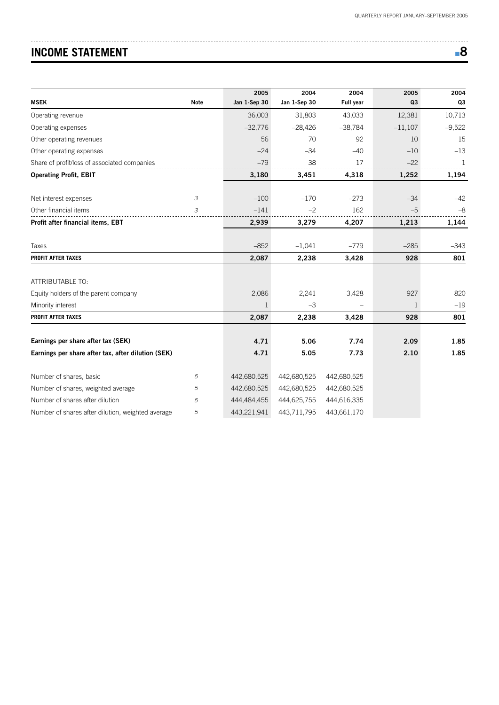# **INCOME STATEMENT**

| ۰,<br>I<br>٠  |
|---------------|
| ۰.<br>×<br>۰. |

|                                                    |             | 2005         | 2004         | 2004        | 2005      | 2004           |
|----------------------------------------------------|-------------|--------------|--------------|-------------|-----------|----------------|
| <b>MSEK</b>                                        | <b>Note</b> | Jan 1-Sep 30 | Jan 1-Sep 30 | Full year   | Q3        | Q <sub>3</sub> |
| Operating revenue                                  |             | 36,003       | 31,803       | 43,033      | 12,381    | 10,713         |
| Operating expenses                                 |             | $-32,776$    | $-28,426$    | $-38,784$   | $-11,107$ | $-9,522$       |
| Other operating revenues                           |             | 56           | 70           | 92          | 10        | 15             |
| Other operating expenses                           |             | $-24$        | $-34$        | $-40$       | $-10$     | $-13$          |
| Share of profit/loss of associated companies       |             | $-79$        | 38           | 17          | $-22$     | -1             |
| <b>Operating Profit, EBIT</b>                      |             | 3,180        | 3,451        | 4,318       | 1,252     | 1,194          |
|                                                    |             |              |              |             |           |                |
| Net interest expenses                              | 3           | $-100$       | $-170$       | $-273$      | $-34$     | $-42$          |
| Other financial items                              | 3           | $-141$       | $-2$         | 162         | $-5$      | $-8$           |
| Profit after financial items, EBT                  |             | 2,939        | 3,279        | 4,207       | 1,213     | 1,144          |
|                                                    |             |              |              |             |           |                |
| Taxes                                              |             | $-852$       | $-1,041$     | $-779$      | $-285$    | $-343$         |
| <b>PROFIT AFTER TAXES</b>                          |             | 2,087        | 2,238        | 3,428       | 928       | 801            |
|                                                    |             |              |              |             |           |                |
| ATTRIBUTABLE TO:                                   |             |              |              |             |           |                |
| Equity holders of the parent company               |             | 2,086        | 2,241        | 3,428       | 927       | 820            |
| Minority interest                                  |             | $\mathbf{1}$ | $-3$         |             | 1         | $-19$          |
| <b>PROFIT AFTER TAXES</b>                          |             | 2,087        | 2,238        | 3,428       | 928       | 801            |
|                                                    |             |              |              |             |           |                |
| Earnings per share after tax (SEK)                 |             | 4.71         | 5.06         | 7.74        | 2.09      | 1.85           |
| Earnings per share after tax, after dilution (SEK) |             | 4.71         | 5.05         | 7.73        | 2.10      | 1.85           |
| Number of shares, basic                            | 5           | 442,680,525  | 442,680,525  | 442,680,525 |           |                |
| Number of shares, weighted average                 | 5           | 442,680,525  | 442,680,525  | 442,680,525 |           |                |
| Number of shares after dilution                    | 5           | 444,484,455  | 444,625,755  | 444,616,335 |           |                |
| Number of shares after dilution, weighted average  | 5           | 443,221,941  | 443,711,795  | 443,661,170 |           |                |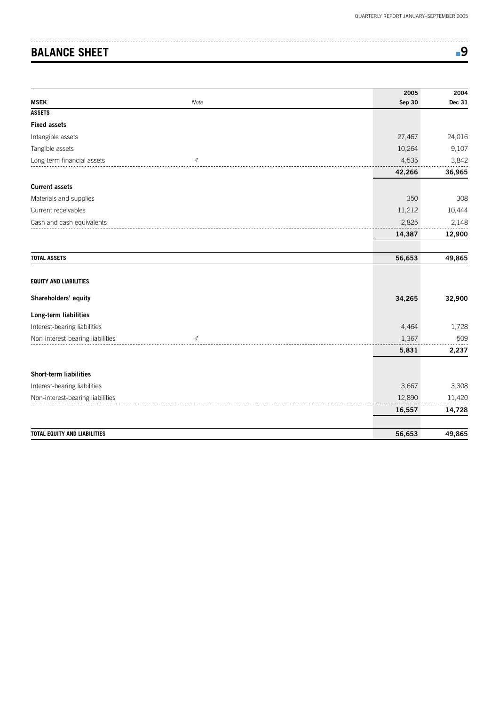# **BALANCE SHEET**  $\blacksquare$ 9

|                                     |                | 2005          | 2004   |
|-------------------------------------|----------------|---------------|--------|
| <b>MSEK</b>                         | Note           | <b>Sep 30</b> | Dec 31 |
| <b>ASSETS</b>                       |                |               |        |
| <b>Fixed assets</b>                 |                |               |        |
| Intangible assets                   |                | 27,467        | 24,016 |
| Tangible assets                     |                | 10,264        | 9,107  |
| Long-term financial assets          | $\sqrt{4}$     | 4,535         | 3,842  |
|                                     | 42,266         | 36,965        |        |
| <b>Current assets</b>               |                |               |        |
| Materials and supplies              |                | 350           | 308    |
| Current receivables                 |                | 11,212        | 10,444 |
| Cash and cash equivalents           |                | 2,825         | 2,148  |
|                                     |                | 14,387        | 12,900 |
| <b>TOTAL ASSETS</b>                 |                | 56,653        | 49,865 |
| <b>EQUITY AND LIABILITIES</b>       |                |               |        |
| Shareholders' equity                |                | 34,265        | 32,900 |
| Long-term liabilities               |                |               |        |
| Interest-bearing liabilities        |                | 4,464         | 1,728  |
| Non-interest-bearing liabilities    | $\overline{4}$ | 1,367         | 509    |
|                                     |                | 5,831         | 2,237  |
| <b>Short-term liabilities</b>       |                |               |        |
| Interest-bearing liabilities        |                | 3,667         | 3,308  |
| Non-interest-bearing liabilities    |                | 12,890        | 11,420 |
|                                     |                | 16,557        | 14,728 |
|                                     |                |               |        |
| <b>TOTAL EQUITY AND LIABILITIES</b> |                | 56,653        | 49,865 |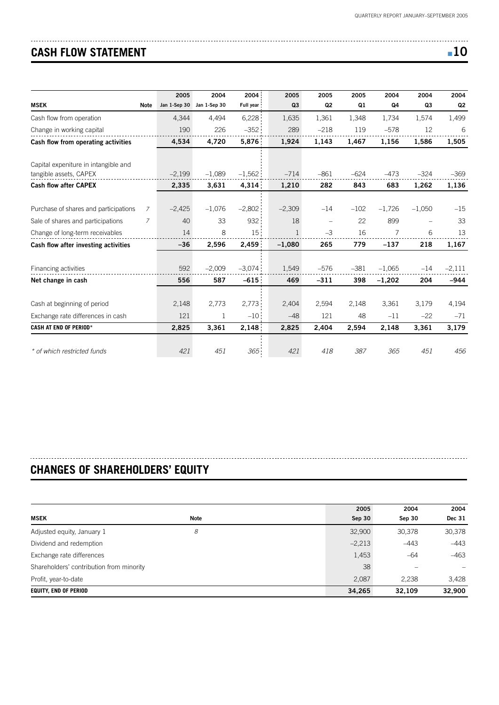# **CASH FLOW STATEMENT** ■ **10**

| ÷ | I<br>×<br>$-$ |
|---|---------------|
|---|---------------|

|                                                                |                | 2005         | 2004         | 2004            | 2005           | 2005     | 2005   | 2004     | 2004     | 2004           |
|----------------------------------------------------------------|----------------|--------------|--------------|-----------------|----------------|----------|--------|----------|----------|----------------|
| <b>MSEK</b>                                                    | <b>Note</b>    | Jan 1-Sep 30 | Jan 1-Sep 30 | Full year       | Q <sub>3</sub> | Q2       | Q1     | Q4       | Q3       | Q <sub>2</sub> |
| Cash flow from operation                                       |                | 4.344        | 4.494        | 6,228           | 1.635          | 1.361    | 1.348  | 1.734    | 1.574    | 1,499          |
| Change in working capital                                      |                | 190          | 226          | $-352$          | 289            | $-218$   | 119    | $-578$   | 12       | 6              |
| Cash flow from operating activities                            |                | 4,534        | 4,720        | 5,876           | 1,924          | 1,143    | 1,467  | 1,156    | 1,586    | 1,505          |
| Capital expeniture in intangible and<br>tangible assets, CAPEX |                | $-2,199$     | $-1,089$     | $-1,562$        | $-714$         | $-861$   | $-624$ | $-473$   | $-324$   | $-369$         |
| <b>Cash flow after CAPEX</b>                                   |                | 2,335        | 3,631        | 4,314           | 1,210          | 282      | 843    | 683      | 1,262    | 1,136          |
| Purchase of shares and participations                          | 7              | $-2,425$     | $-1,076$     | $-2,802$        | $-2,309$       | $-14$    | $-102$ | $-1,726$ | $-1,050$ | $-15$          |
| Sale of shares and participations                              | $\overline{7}$ | 40           | 33           | 932             | 18             | $\equiv$ | 22     | 899      | $\equiv$ | 33             |
| Change of long-term receivables                                |                | 14           | 8            | 15 <sub>1</sub> | $\mathbf{1}$   | $-3$     | 16     | 7        | 6        | 13             |
| Cash flow after investing activities                           |                | $-36$        | 2,596        | 2,459           | $-1,080$       | 265      | 779    | $-137$   | 218      | 1,167          |
| Financing activities                                           |                | 592          | $-2,009$     | $-3.074$        | 1,549          | $-576$   | $-381$ | $-1,065$ | $-14$    | $-2,111$       |
| Net change in cash                                             |                | 556          | 587          | $-615$          | 469            | $-311$   | 398    | $-1,202$ | 204      | $-944$         |
|                                                                |                |              |              |                 |                |          |        |          |          |                |
| Cash at beginning of period                                    |                | 2,148        | 2,773        | 2,773           | 2,404          | 2,594    | 2,148  | 3,361    | 3,179    | 4,194          |
| Exchange rate differences in cash                              |                | 121          | 1            | $-10$           | $-48$          | 121      | 48     | $-11$    | $-22$    | $-71$          |
| <b>CASH AT END OF PERIOD*</b>                                  |                | 2,825        | 3,361        | 2,148           | 2,825          | 2,404    | 2,594  | 2,148    | 3,361    | 3,179          |
| * of which restricted funds                                    |                | 421          | 451          | 365             | 421            | 418      | 387    | 365      | 451      | 456            |

# **CHANGES OF SHAREHOLDERS' EQUITY**

|                                          |             | 2005     | 2004   | 2004   |
|------------------------------------------|-------------|----------|--------|--------|
| MSEK                                     | <b>Note</b> | Sep 30   | Sep 30 | Dec 31 |
| Adjusted equity, January 1               | 8           | 32,900   | 30,378 | 30,378 |
| Dividend and redemption                  |             | $-2,213$ | $-443$ | $-443$ |
| Exchange rate differences                |             | 1,453    | $-64$  | $-463$ |
| Shareholders' contribution from minority |             | 38       |        |        |
| Profit, year-to-date                     |             | 2.087    | 2.238  | 3,428  |
| <b>EQUITY, END OF PERIOD</b>             |             | 34,265   | 32.109 | 32,900 |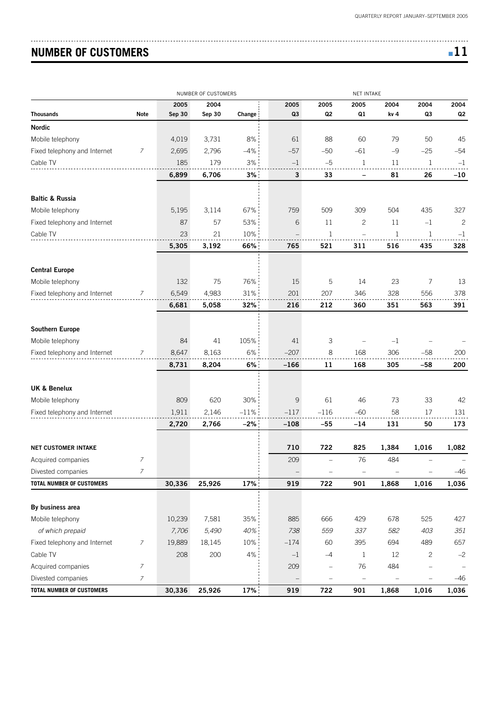# **NUMBER OF CUSTOMERS** ■ **11**

| - |  |
|---|--|
|   |  |

| 2004<br>2005<br>2005<br>2005<br>2004<br>2004<br>2005<br>2004<br>Q3<br>Q <sub>2</sub><br>Q1<br>Q3<br><b>Note</b><br>Sep 30<br>Sep 30<br>Q2<br>Change<br>kv 4<br>3,731<br>8%<br>88<br>60<br>79<br>50<br>45<br>4,019<br>61<br>$-25$<br>7<br>2,796<br>$-4%$<br>$-57$<br>$-50$<br>$-61$<br>$-9$<br>$-54$<br>2,695<br>185<br>179<br>3%<br>$-5$<br>$\mathbf 1$<br>11<br>1<br>$-1$<br>$-1$<br>3%<br>3<br>6,899<br>6,706<br>33<br>81<br>26<br>-10<br>$\qquad \qquad$<br>509<br>504<br>435<br>327<br>5,195<br>3,114<br>67%<br>759<br>309<br>53%<br>6<br>11<br>$\mathbf{2}$<br>87<br>57<br>11<br>$-1$<br>$\overline{c}$<br>10%<br>23<br>21<br>1<br>1<br>1<br>$-1$<br>5,305<br>66%<br>521<br>311<br>516<br>3,192<br>765<br>435<br>328<br><b>Central Europe</b><br>75<br>76%<br>15<br>5<br>132<br>14<br>23<br>7<br>13<br>Mobile telephony<br>6,549<br>$31\%$<br>201<br>Fixed telephony and Internet<br>4,983<br>207<br>346<br>328<br>556<br>378<br>7<br>32%<br>212<br>6,681<br>5,058<br>216<br>360<br>351<br>563<br>391<br>41<br>105%<br>3<br>84<br>41<br>$-1$<br>$6\%$<br>$-207$<br>168<br>8,647<br>8,163<br>8<br>306<br>$-58$<br>200<br>7<br>8,731<br>8,204<br>6%<br>$-166$<br>11<br>168<br>305<br>-58<br>200<br>809<br>620<br>30%<br>9<br>61<br>46<br>73<br>33<br>42<br>1,911<br>2,146<br>$-11%$<br>$-117$<br>$-116$<br>$-60$<br>58<br>17<br>131<br>2,720<br>$-2%$<br>$-108$<br>131<br>50<br>2,766<br>-55<br>$-14$<br>173<br>710<br>722<br>825<br><b>NET CUSTOMER INTAKE</b><br>1,384<br>1,016<br>1,082<br>209<br>76<br>484<br>Acquired companies<br>Ζ<br>$\overline{\phantom{m}}$<br>$\overline{7}$<br>Divested companies<br>$-46$<br>$\overline{\phantom{0}}$<br>-<br>17%<br>30,336<br>25,926<br>722<br>1,868<br>1,016<br>919<br>901<br>1,036<br>By business area<br>7,581<br>35%<br>885<br>666<br>429<br>427<br>Mobile telephony<br>10,239<br>678<br>525<br>of which prepaid<br>7,706<br>5,490<br>40%<br>559<br>337<br>582<br>$351\,$<br>738<br>403<br>Fixed telephony and Internet<br>19,889<br>18,145<br>10%<br>$-174$<br>657<br>$\overline{z}$<br>60<br>395<br>694<br>489<br>$4\%$<br>Cable TV<br>208<br>200<br>$\mathbf{1}$<br>12<br>$\overline{c}$<br>$-1$<br>$-4$<br>$-2$<br>7<br>209<br>76<br>484<br>Acquired companies<br>÷<br>7<br>Divested companies<br>-46 |                                  |        | NUMBER OF CUSTOMERS |     |     |     | <b>NET INTAKE</b> |       |       |       |
|----------------------------------------------------------------------------------------------------------------------------------------------------------------------------------------------------------------------------------------------------------------------------------------------------------------------------------------------------------------------------------------------------------------------------------------------------------------------------------------------------------------------------------------------------------------------------------------------------------------------------------------------------------------------------------------------------------------------------------------------------------------------------------------------------------------------------------------------------------------------------------------------------------------------------------------------------------------------------------------------------------------------------------------------------------------------------------------------------------------------------------------------------------------------------------------------------------------------------------------------------------------------------------------------------------------------------------------------------------------------------------------------------------------------------------------------------------------------------------------------------------------------------------------------------------------------------------------------------------------------------------------------------------------------------------------------------------------------------------------------------------------------------------------------------------------------------------------------------------------------------------------------------------------------------------------------------------------------------------------------------------------------------------------------------------------------------------------------------------------------------------------------------------------------------------------------------------------------------------------------------------------|----------------------------------|--------|---------------------|-----|-----|-----|-------------------|-------|-------|-------|
|                                                                                                                                                                                                                                                                                                                                                                                                                                                                                                                                                                                                                                                                                                                                                                                                                                                                                                                                                                                                                                                                                                                                                                                                                                                                                                                                                                                                                                                                                                                                                                                                                                                                                                                                                                                                                                                                                                                                                                                                                                                                                                                                                                                                                                                                |                                  |        |                     |     |     |     |                   |       |       |       |
|                                                                                                                                                                                                                                                                                                                                                                                                                                                                                                                                                                                                                                                                                                                                                                                                                                                                                                                                                                                                                                                                                                                                                                                                                                                                                                                                                                                                                                                                                                                                                                                                                                                                                                                                                                                                                                                                                                                                                                                                                                                                                                                                                                                                                                                                | <b>Thousands</b>                 |        |                     |     |     |     |                   |       |       |       |
|                                                                                                                                                                                                                                                                                                                                                                                                                                                                                                                                                                                                                                                                                                                                                                                                                                                                                                                                                                                                                                                                                                                                                                                                                                                                                                                                                                                                                                                                                                                                                                                                                                                                                                                                                                                                                                                                                                                                                                                                                                                                                                                                                                                                                                                                | <b>Nordic</b>                    |        |                     |     |     |     |                   |       |       |       |
|                                                                                                                                                                                                                                                                                                                                                                                                                                                                                                                                                                                                                                                                                                                                                                                                                                                                                                                                                                                                                                                                                                                                                                                                                                                                                                                                                                                                                                                                                                                                                                                                                                                                                                                                                                                                                                                                                                                                                                                                                                                                                                                                                                                                                                                                | Mobile telephony                 |        |                     |     |     |     |                   |       |       |       |
|                                                                                                                                                                                                                                                                                                                                                                                                                                                                                                                                                                                                                                                                                                                                                                                                                                                                                                                                                                                                                                                                                                                                                                                                                                                                                                                                                                                                                                                                                                                                                                                                                                                                                                                                                                                                                                                                                                                                                                                                                                                                                                                                                                                                                                                                | Fixed telephony and Internet     |        |                     |     |     |     |                   |       |       |       |
|                                                                                                                                                                                                                                                                                                                                                                                                                                                                                                                                                                                                                                                                                                                                                                                                                                                                                                                                                                                                                                                                                                                                                                                                                                                                                                                                                                                                                                                                                                                                                                                                                                                                                                                                                                                                                                                                                                                                                                                                                                                                                                                                                                                                                                                                | Cable TV                         |        |                     |     |     |     |                   |       |       |       |
|                                                                                                                                                                                                                                                                                                                                                                                                                                                                                                                                                                                                                                                                                                                                                                                                                                                                                                                                                                                                                                                                                                                                                                                                                                                                                                                                                                                                                                                                                                                                                                                                                                                                                                                                                                                                                                                                                                                                                                                                                                                                                                                                                                                                                                                                |                                  |        |                     |     |     |     |                   |       |       |       |
|                                                                                                                                                                                                                                                                                                                                                                                                                                                                                                                                                                                                                                                                                                                                                                                                                                                                                                                                                                                                                                                                                                                                                                                                                                                                                                                                                                                                                                                                                                                                                                                                                                                                                                                                                                                                                                                                                                                                                                                                                                                                                                                                                                                                                                                                | <b>Baltic &amp; Russia</b>       |        |                     |     |     |     |                   |       |       |       |
|                                                                                                                                                                                                                                                                                                                                                                                                                                                                                                                                                                                                                                                                                                                                                                                                                                                                                                                                                                                                                                                                                                                                                                                                                                                                                                                                                                                                                                                                                                                                                                                                                                                                                                                                                                                                                                                                                                                                                                                                                                                                                                                                                                                                                                                                | Mobile telephony                 |        |                     |     |     |     |                   |       |       |       |
|                                                                                                                                                                                                                                                                                                                                                                                                                                                                                                                                                                                                                                                                                                                                                                                                                                                                                                                                                                                                                                                                                                                                                                                                                                                                                                                                                                                                                                                                                                                                                                                                                                                                                                                                                                                                                                                                                                                                                                                                                                                                                                                                                                                                                                                                | Fixed telephony and Internet     |        |                     |     |     |     |                   |       |       |       |
|                                                                                                                                                                                                                                                                                                                                                                                                                                                                                                                                                                                                                                                                                                                                                                                                                                                                                                                                                                                                                                                                                                                                                                                                                                                                                                                                                                                                                                                                                                                                                                                                                                                                                                                                                                                                                                                                                                                                                                                                                                                                                                                                                                                                                                                                | Cable TV                         |        |                     |     |     |     |                   |       |       |       |
|                                                                                                                                                                                                                                                                                                                                                                                                                                                                                                                                                                                                                                                                                                                                                                                                                                                                                                                                                                                                                                                                                                                                                                                                                                                                                                                                                                                                                                                                                                                                                                                                                                                                                                                                                                                                                                                                                                                                                                                                                                                                                                                                                                                                                                                                |                                  |        |                     |     |     |     |                   |       |       |       |
|                                                                                                                                                                                                                                                                                                                                                                                                                                                                                                                                                                                                                                                                                                                                                                                                                                                                                                                                                                                                                                                                                                                                                                                                                                                                                                                                                                                                                                                                                                                                                                                                                                                                                                                                                                                                                                                                                                                                                                                                                                                                                                                                                                                                                                                                |                                  |        |                     |     |     |     |                   |       |       |       |
|                                                                                                                                                                                                                                                                                                                                                                                                                                                                                                                                                                                                                                                                                                                                                                                                                                                                                                                                                                                                                                                                                                                                                                                                                                                                                                                                                                                                                                                                                                                                                                                                                                                                                                                                                                                                                                                                                                                                                                                                                                                                                                                                                                                                                                                                |                                  |        |                     |     |     |     |                   |       |       |       |
|                                                                                                                                                                                                                                                                                                                                                                                                                                                                                                                                                                                                                                                                                                                                                                                                                                                                                                                                                                                                                                                                                                                                                                                                                                                                                                                                                                                                                                                                                                                                                                                                                                                                                                                                                                                                                                                                                                                                                                                                                                                                                                                                                                                                                                                                |                                  |        |                     |     |     |     |                   |       |       |       |
|                                                                                                                                                                                                                                                                                                                                                                                                                                                                                                                                                                                                                                                                                                                                                                                                                                                                                                                                                                                                                                                                                                                                                                                                                                                                                                                                                                                                                                                                                                                                                                                                                                                                                                                                                                                                                                                                                                                                                                                                                                                                                                                                                                                                                                                                |                                  |        |                     |     |     |     |                   |       |       |       |
|                                                                                                                                                                                                                                                                                                                                                                                                                                                                                                                                                                                                                                                                                                                                                                                                                                                                                                                                                                                                                                                                                                                                                                                                                                                                                                                                                                                                                                                                                                                                                                                                                                                                                                                                                                                                                                                                                                                                                                                                                                                                                                                                                                                                                                                                |                                  |        |                     |     |     |     |                   |       |       |       |
|                                                                                                                                                                                                                                                                                                                                                                                                                                                                                                                                                                                                                                                                                                                                                                                                                                                                                                                                                                                                                                                                                                                                                                                                                                                                                                                                                                                                                                                                                                                                                                                                                                                                                                                                                                                                                                                                                                                                                                                                                                                                                                                                                                                                                                                                | Southern Europe                  |        |                     |     |     |     |                   |       |       |       |
|                                                                                                                                                                                                                                                                                                                                                                                                                                                                                                                                                                                                                                                                                                                                                                                                                                                                                                                                                                                                                                                                                                                                                                                                                                                                                                                                                                                                                                                                                                                                                                                                                                                                                                                                                                                                                                                                                                                                                                                                                                                                                                                                                                                                                                                                | Mobile telephony                 |        |                     |     |     |     |                   |       |       |       |
|                                                                                                                                                                                                                                                                                                                                                                                                                                                                                                                                                                                                                                                                                                                                                                                                                                                                                                                                                                                                                                                                                                                                                                                                                                                                                                                                                                                                                                                                                                                                                                                                                                                                                                                                                                                                                                                                                                                                                                                                                                                                                                                                                                                                                                                                | Fixed telephony and Internet     |        |                     |     |     |     |                   |       |       |       |
|                                                                                                                                                                                                                                                                                                                                                                                                                                                                                                                                                                                                                                                                                                                                                                                                                                                                                                                                                                                                                                                                                                                                                                                                                                                                                                                                                                                                                                                                                                                                                                                                                                                                                                                                                                                                                                                                                                                                                                                                                                                                                                                                                                                                                                                                |                                  |        |                     |     |     |     |                   |       |       |       |
|                                                                                                                                                                                                                                                                                                                                                                                                                                                                                                                                                                                                                                                                                                                                                                                                                                                                                                                                                                                                                                                                                                                                                                                                                                                                                                                                                                                                                                                                                                                                                                                                                                                                                                                                                                                                                                                                                                                                                                                                                                                                                                                                                                                                                                                                |                                  |        |                     |     |     |     |                   |       |       |       |
|                                                                                                                                                                                                                                                                                                                                                                                                                                                                                                                                                                                                                                                                                                                                                                                                                                                                                                                                                                                                                                                                                                                                                                                                                                                                                                                                                                                                                                                                                                                                                                                                                                                                                                                                                                                                                                                                                                                                                                                                                                                                                                                                                                                                                                                                | <b>UK &amp; Benelux</b>          |        |                     |     |     |     |                   |       |       |       |
|                                                                                                                                                                                                                                                                                                                                                                                                                                                                                                                                                                                                                                                                                                                                                                                                                                                                                                                                                                                                                                                                                                                                                                                                                                                                                                                                                                                                                                                                                                                                                                                                                                                                                                                                                                                                                                                                                                                                                                                                                                                                                                                                                                                                                                                                | Mobile telephony                 |        |                     |     |     |     |                   |       |       |       |
|                                                                                                                                                                                                                                                                                                                                                                                                                                                                                                                                                                                                                                                                                                                                                                                                                                                                                                                                                                                                                                                                                                                                                                                                                                                                                                                                                                                                                                                                                                                                                                                                                                                                                                                                                                                                                                                                                                                                                                                                                                                                                                                                                                                                                                                                | Fixed telephony and Internet     |        |                     |     |     |     |                   |       |       |       |
|                                                                                                                                                                                                                                                                                                                                                                                                                                                                                                                                                                                                                                                                                                                                                                                                                                                                                                                                                                                                                                                                                                                                                                                                                                                                                                                                                                                                                                                                                                                                                                                                                                                                                                                                                                                                                                                                                                                                                                                                                                                                                                                                                                                                                                                                |                                  |        |                     |     |     |     |                   |       |       |       |
|                                                                                                                                                                                                                                                                                                                                                                                                                                                                                                                                                                                                                                                                                                                                                                                                                                                                                                                                                                                                                                                                                                                                                                                                                                                                                                                                                                                                                                                                                                                                                                                                                                                                                                                                                                                                                                                                                                                                                                                                                                                                                                                                                                                                                                                                |                                  |        |                     |     |     |     |                   |       |       |       |
|                                                                                                                                                                                                                                                                                                                                                                                                                                                                                                                                                                                                                                                                                                                                                                                                                                                                                                                                                                                                                                                                                                                                                                                                                                                                                                                                                                                                                                                                                                                                                                                                                                                                                                                                                                                                                                                                                                                                                                                                                                                                                                                                                                                                                                                                |                                  |        |                     |     |     |     |                   |       |       |       |
|                                                                                                                                                                                                                                                                                                                                                                                                                                                                                                                                                                                                                                                                                                                                                                                                                                                                                                                                                                                                                                                                                                                                                                                                                                                                                                                                                                                                                                                                                                                                                                                                                                                                                                                                                                                                                                                                                                                                                                                                                                                                                                                                                                                                                                                                |                                  |        |                     |     |     |     |                   |       |       |       |
|                                                                                                                                                                                                                                                                                                                                                                                                                                                                                                                                                                                                                                                                                                                                                                                                                                                                                                                                                                                                                                                                                                                                                                                                                                                                                                                                                                                                                                                                                                                                                                                                                                                                                                                                                                                                                                                                                                                                                                                                                                                                                                                                                                                                                                                                | <b>TOTAL NUMBER OF CUSTOMERS</b> |        |                     |     |     |     |                   |       |       |       |
|                                                                                                                                                                                                                                                                                                                                                                                                                                                                                                                                                                                                                                                                                                                                                                                                                                                                                                                                                                                                                                                                                                                                                                                                                                                                                                                                                                                                                                                                                                                                                                                                                                                                                                                                                                                                                                                                                                                                                                                                                                                                                                                                                                                                                                                                |                                  |        |                     |     |     |     |                   |       |       |       |
|                                                                                                                                                                                                                                                                                                                                                                                                                                                                                                                                                                                                                                                                                                                                                                                                                                                                                                                                                                                                                                                                                                                                                                                                                                                                                                                                                                                                                                                                                                                                                                                                                                                                                                                                                                                                                                                                                                                                                                                                                                                                                                                                                                                                                                                                |                                  |        |                     |     |     |     |                   |       |       |       |
|                                                                                                                                                                                                                                                                                                                                                                                                                                                                                                                                                                                                                                                                                                                                                                                                                                                                                                                                                                                                                                                                                                                                                                                                                                                                                                                                                                                                                                                                                                                                                                                                                                                                                                                                                                                                                                                                                                                                                                                                                                                                                                                                                                                                                                                                |                                  |        |                     |     |     |     |                   |       |       |       |
|                                                                                                                                                                                                                                                                                                                                                                                                                                                                                                                                                                                                                                                                                                                                                                                                                                                                                                                                                                                                                                                                                                                                                                                                                                                                                                                                                                                                                                                                                                                                                                                                                                                                                                                                                                                                                                                                                                                                                                                                                                                                                                                                                                                                                                                                |                                  |        |                     |     |     |     |                   |       |       |       |
|                                                                                                                                                                                                                                                                                                                                                                                                                                                                                                                                                                                                                                                                                                                                                                                                                                                                                                                                                                                                                                                                                                                                                                                                                                                                                                                                                                                                                                                                                                                                                                                                                                                                                                                                                                                                                                                                                                                                                                                                                                                                                                                                                                                                                                                                |                                  |        |                     |     |     |     |                   |       |       |       |
|                                                                                                                                                                                                                                                                                                                                                                                                                                                                                                                                                                                                                                                                                                                                                                                                                                                                                                                                                                                                                                                                                                                                                                                                                                                                                                                                                                                                                                                                                                                                                                                                                                                                                                                                                                                                                                                                                                                                                                                                                                                                                                                                                                                                                                                                |                                  |        |                     |     |     |     |                   |       |       |       |
|                                                                                                                                                                                                                                                                                                                                                                                                                                                                                                                                                                                                                                                                                                                                                                                                                                                                                                                                                                                                                                                                                                                                                                                                                                                                                                                                                                                                                                                                                                                                                                                                                                                                                                                                                                                                                                                                                                                                                                                                                                                                                                                                                                                                                                                                |                                  |        |                     |     |     |     |                   |       |       |       |
|                                                                                                                                                                                                                                                                                                                                                                                                                                                                                                                                                                                                                                                                                                                                                                                                                                                                                                                                                                                                                                                                                                                                                                                                                                                                                                                                                                                                                                                                                                                                                                                                                                                                                                                                                                                                                                                                                                                                                                                                                                                                                                                                                                                                                                                                | TOTAL NUMBER OF CUSTOMERS        | 30,336 | 25,926              | 17% | 919 | 722 | 901               | 1,868 | 1,016 | 1,036 |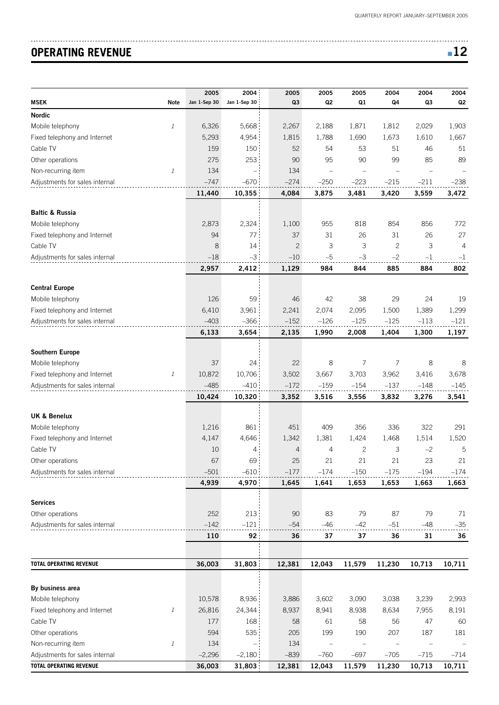# **OPERATING REVENUE**  $\blacksquare$  **12**

|                                |                  | 2005         | 2004         | 2005           | 2005           | 2005   | 2004         | 2004   | 2004   |
|--------------------------------|------------------|--------------|--------------|----------------|----------------|--------|--------------|--------|--------|
| <b>MSEK</b>                    | <b>Note</b>      | Jan 1-Sep 30 | Jan 1-Sep 30 | Q <sub>3</sub> | Q <sub>2</sub> | Q1     | Q4           | Q3     | Q2     |
| <b>Nordic</b>                  |                  |              |              |                |                |        |              |        |        |
| Mobile telephony               | $\it 1$          | 6,326        | 5,668        | 2,267          | 2,188          | 1,871  | 1,812        | 2,029  | 1,903  |
| Fixed telephony and Internet   |                  | 5,293        | 4,954        | 1,815          | 1,788          | 1,690  | 1,673        | 1,610  | 1,667  |
| Cable TV                       |                  | 159          | 150          | 52             | 54             | 53     | 51           | 46     | 51     |
| Other operations               |                  | 275          | 253          | 90             | 95             | 90     | 99           | 85     | 89     |
| Non-recurring item             | $\it 1$          | 134          |              | 134            | $\equiv$       |        |              |        |        |
| Adjustments for sales internal |                  | $-747$       | $-670$       | $-274$         | $-250$         | $-223$ | $-215$       | $-211$ | $-238$ |
|                                |                  | 11,440       | 10,355       | 4,084          | 3,875          | 3,481  | 3,420        | 3,559  | 3,472  |
| <b>Baltic &amp; Russia</b>     |                  |              |              |                |                |        |              |        |        |
| Mobile telephony               |                  | 2,873        | 2,324        | 1,100          | 955            | 818    | 854          | 856    | 772    |
| Fixed telephony and Internet   |                  | 94           | 77           | 37             | 31             | 26     | 31           | 26     | 27     |
| Cable TV                       |                  | 8            | 14           | $\mathbf{2}$   | 3              | 3      | $\mathbf{2}$ | 3      | 4      |
| Adjustments for sales internal |                  | $-18$        | $-3$         | $-10$          | $-5$           | $-3$   | $-2$         | $-1$   | $-1$   |
|                                |                  | 2,957        | 2,412        | 1,129          | 984            | 844    | 885          | 884    | 802    |
|                                |                  |              |              |                |                |        |              |        |        |
| <b>Central Europe</b>          |                  |              |              |                |                |        |              |        |        |
| Mobile telephony               |                  | 126          | 59           | 46             | 42             | 38     | 29           | 24     | 19     |
| Fixed telephony and Internet   |                  | 6,410        | 3,961        | 2,241          | 2,074          | 2,095  | 1,500        | 1,389  | 1,299  |
| Adjustments for sales internal |                  | $-403$       | $-366$       | $-152$         | $-126$         | $-125$ | $-125$       | $-113$ | $-121$ |
|                                |                  | 6,133        | 3,654        | 2,135          | 1,990          | 2,008  | 1,404        | 1,300  | 1,197  |
|                                |                  |              |              |                |                |        |              |        |        |
| <b>Southern Europe</b>         |                  |              |              |                |                |        |              |        |        |
| Mobile telephony               |                  | 37           | 24           | 22             | 8              | 7      | 7            | 8      | 8      |
| Fixed telephony and Internet   | $\mathbf{1}$     | 10,872       | 10,706       | 3,502          | 3,667          | 3,703  | 3,962        | 3,416  | 3,678  |
| Adjustments for sales internal |                  | $-485$       | $-410$       | $-172$         | $-159$         | $-154$ | $-137$       | $-148$ | $-145$ |
|                                |                  | 10,424       | 10,320       | 3,352          | 3,516          | 3,556  | 3,832        | 3,276  | 3,541  |
| <b>UK &amp; Benelux</b>        |                  |              |              |                |                |        |              |        |        |
| Mobile telephony               |                  | 1,216        | 861          | 451            | 409            | 356    | 336          | 322    | 291    |
| Fixed telephony and Internet   |                  | 4,147        | 4,646        | 1,342          | 1,381          | 1,424  | 1,468        | 1,514  | 1,520  |
| Cable TV                       |                  | 10           | 4            | $\overline{4}$ | 4              | 2      | 3            | $-2$   | 5      |
| Other operations               |                  | 67           | 69           | 25             | 21             | 21     | 21           | 23     | 21     |
| Adjustments for sales internal |                  | $-501$       | $-610$       | $-177$         | $-174$         | $-150$ | $-175$       | $-194$ | $-174$ |
|                                |                  | 4,939        | 4,970        | 1,645          | 1,641          | 1,653  | 1,653        | 1,663  | 1,663  |
|                                |                  |              |              |                |                |        |              |        |        |
| <b>Services</b>                |                  |              |              |                |                |        |              |        |        |
| Other operations               |                  | 252          | 213          | 90             | 83             | 79     | 87           | 79     | 71     |
| Adjustments for sales internal |                  | $-142$       | $-121$       | $-54$          | $-46$          | $-42$  | $-51$        | $-48$  | $-35$  |
|                                |                  | 110          | 92           | 36             | 37             | 37     | 36           | 31     | 36     |
|                                |                  |              |              |                |                |        |              |        |        |
| <b>TOTAL OPERATING REVENUE</b> |                  | 36,003       | 31,803       | 12,381         | 12,043         | 11,579 | 11,230       | 10,713 | 10,711 |
|                                |                  |              |              |                |                |        |              |        |        |
| By business area               |                  |              |              |                |                |        |              |        |        |
| Mobile telephony               |                  | 10,578       | 8,936        | 3,886          | 3,602          | 3,090  | 3,038        | 3,239  | 2,993  |
| Fixed telephony and Internet   | $\boldsymbol{l}$ | 26,816       | 24,344       | 8,937          | 8,941          | 8,938  | 8,634        | 7,955  | 8,191  |
| Cable TV                       |                  | 177          | 168          | 58             | 61             | 58     | 56           | 47     | 60     |
| Other operations               |                  | 594          | 535          | 205            | 199            | 190    | 207          | 187    | 181    |
| Non-recurring item             | $\boldsymbol{l}$ | 134          |              | 134            |                |        |              |        |        |
| Adjustments for sales internal |                  | $-2,296$     | $-2,180$     | $-839$         | $-760$         | $-697$ | $-705$       | $-715$ | $-714$ |
| <b>TOTAL OPERATING REVENUE</b> |                  | 36,003       | 31,803       | 12,381         | 12,043         | 11,579 | 11,230       | 10,713 | 10,711 |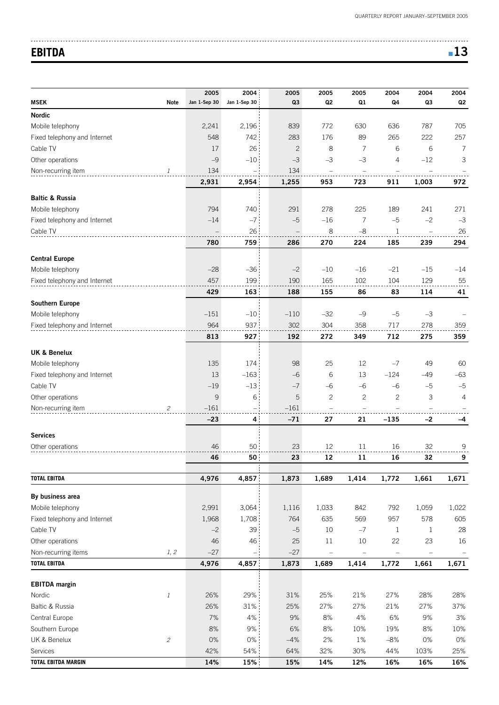# **EBITDA** ■ **13**

|                                        |                             | 2005         | 2004                     | 2005           | 2005                     | 2005                     | 2004           | 2004                     | 2004           |
|----------------------------------------|-----------------------------|--------------|--------------------------|----------------|--------------------------|--------------------------|----------------|--------------------------|----------------|
| <b>MSEK</b>                            | Note                        | Jan 1-Sep 30 | Jan 1-Sep 30             | Q <sub>3</sub> | Q2                       | Q1                       | Q <sub>4</sub> | Q3                       | Q2             |
| <b>Nordic</b>                          |                             |              |                          |                |                          |                          |                |                          |                |
| Mobile telephony                       |                             | 2,241        | 2,196                    | 839            | 772                      | 630                      | 636            | 787                      | 705            |
| Fixed telephony and Internet           |                             | 548          | 742                      | 283            | 176                      | 89                       | 265            | 222                      | 257            |
| Cable TV                               |                             | 17           | 26                       | $\mathbf{2}$   | 8                        | 7                        | 6              | 6                        | 7              |
| Other operations                       |                             | $-9$         | $-10$                    | $-3$           | $-3$                     | $-3$                     | 4              | $-12$                    | 3              |
| Non-recurring item                     | 1                           | 134          |                          | 134            | $\overline{\phantom{0}}$ |                          |                |                          |                |
|                                        |                             | 2,931        | 2,954                    | 1,255          | 953                      | 723                      | 911            | 1,003                    | 972            |
| <b>Baltic &amp; Russia</b>             |                             |              |                          |                |                          |                          |                |                          |                |
| Mobile telephony                       |                             | 794          | 740                      | 291            | 278                      | 225                      | 189            | 241                      | 271            |
| Fixed telephony and Internet           |                             | $-14$        | $-7$                     | $-5$           | $-16$                    | 7                        | $-5$           | $-2$                     | $-3$           |
| Cable TV                               |                             |              | 26                       |                | 8                        | $-8$                     | $\mathbf{1}$   |                          | 26             |
|                                        |                             | 780          | 759                      | 286            | 270                      | 224                      | 185            | 239                      | 294            |
| <b>Central Europe</b>                  |                             |              |                          |                |                          |                          |                |                          |                |
| Mobile telephony                       |                             | $-28$        | $-36$                    | $-2$           | $-10$                    | $-16$                    | $-21$          | $-15$                    | $-14$          |
| Fixed telephony and Internet           |                             | 457          | 199                      | 190            | 165                      | 102                      | 104            | 129                      | 55             |
|                                        |                             | 429          | 163                      | 188            | 155                      | 86                       | 83             | 114                      | 41             |
| <b>Southern Europe</b>                 |                             |              |                          |                |                          |                          |                |                          |                |
| Mobile telephony                       |                             | $-151$       | $-10$                    | $-110$         | $-32$                    | $-9$                     | $-5$           | $-3$                     |                |
| Fixed telephony and Internet           |                             | 964          | 937                      | 302            | 304                      | 358                      | 717            | 278                      | 359            |
|                                        |                             | 813          | 927                      | 192            | 272                      | 349                      | 712            | 275                      | 359            |
|                                        |                             |              |                          |                |                          |                          |                |                          |                |
| <b>UK &amp; Benelux</b>                |                             |              |                          |                |                          |                          |                |                          |                |
| Mobile telephony                       |                             | 135          | 174                      | 98             | 25                       | 12                       | $-7$           | 49                       | 60             |
| Fixed telephony and Internet           |                             | 13           | $-163$                   | $-6$<br>$-7$   | 6<br>$-6$                | 13                       | $-124$<br>$-6$ | $-49$                    | $-63$<br>$-5$  |
| Cable TV<br>Other operations           |                             | $-19$<br>9   | $-13$<br>6               | 5              | $\mathbf{2}$             | -6<br>$\mathbf{2}$       | $\mathbf{2}$   | $-5$<br>3                | $\overline{4}$ |
| Non-recurring item                     | $\mathcal{Z}_{\mathcal{C}}$ | $-161$       | $\overline{\phantom{0}}$ | $-161$         | $\equiv$                 | $\overline{\phantom{0}}$ |                |                          |                |
|                                        |                             | $-23$        | $\overline{4}$           | $-71$          | 27                       | 21                       | $-135$         | $-2$                     | -4             |
|                                        |                             |              |                          |                |                          |                          |                |                          |                |
| <b>Services</b>                        |                             |              |                          |                |                          |                          |                |                          |                |
| Other operations                       |                             | 46           | 50                       | 23             | 12                       | 11                       | 16             | 32                       | 9              |
|                                        |                             | 46           | 50                       | 23             | 12                       | 11                       | 16             | 32                       | 9              |
| <b>TOTAL EBITDA</b>                    |                             | 4,976        | 4,857                    | 1,873          | 1,689                    | 1,414                    | 1,772          | 1,661                    | 1,671          |
|                                        |                             |              |                          |                |                          |                          |                |                          |                |
| By business area<br>Mobile telephony   |                             | 2,991        | 3,064                    | 1,116          | 1,033                    | 842                      | 792            | 1,059                    | 1,022          |
| Fixed telephony and Internet           |                             | 1,968        | 1,708                    | 764            | 635                      | 569                      | 957            | 578                      | 605            |
| Cable TV                               |                             | $-2$         | 39                       | $-5$           | 10                       | $-7$                     | $\mathbf{1}$   | $\mathbf{1}$             | 28             |
| Other operations                       |                             | 46           | 46                       | 25             | $11\,$                   | 10                       | 22             | 23                       | 16             |
| Non-recurring items                    | 1, 2                        | $-27$        | $\qquad \qquad -$        | $-27$          | $\overline{\phantom{0}}$ | ÷                        | $\equiv$       | $\overline{\phantom{0}}$ |                |
| <b>TOTAL EBITDA</b>                    |                             | 4,976        | 4,857                    | 1,873          | 1,689                    | 1,414                    | 1,772          | 1,661                    | 1,671          |
|                                        |                             |              |                          |                |                          |                          |                |                          |                |
| <b>EBITDA</b> margin                   |                             |              |                          |                |                          |                          |                |                          |                |
| Nordic                                 | $\it 1$                     | 26%          | 29%                      | 31%            | 25%                      | 21%                      | 27%            | 28%                      | 28%            |
| Baltic & Russia                        |                             | 26%          | $31\%$                   | 25%            | 27%                      | 27%                      | 21%            | 27%                      | 37%            |
| Central Europe                         |                             | 7%           | 4%                       | 9%             | 8%                       | 4%                       | 6%             | 9%                       | 3%             |
| Southern Europe                        |                             | 8%           | 9%                       | 6%             | 8%                       | 10%                      | 19%            | 8%                       | 10%            |
| UK & Benelux                           | $\mathfrak{p}$              | $0\%$        | 0%                       | $-4%$          | 2%                       | 1%                       | $-8%$          | 0%                       | $0\%$          |
| Services<br><b>TOTAL EBITDA MARGIN</b> |                             | 42%<br>14%   | 54%<br>15%               | 64%<br>15%     | 32%<br>14%               | 30%<br>12%               | 44%<br>16%     | 103%<br>16%              | 25%<br>16%     |
|                                        |                             |              |                          |                |                          |                          |                |                          |                |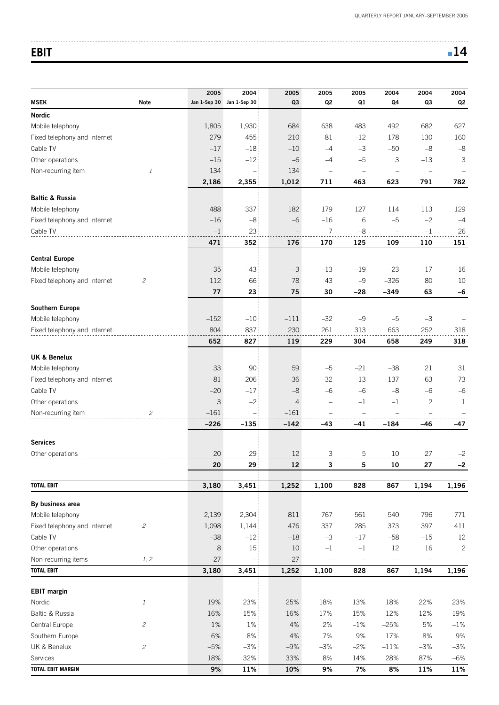# **EBIT EBIT**

|                                           |                                                 | 2005   | 2004                      | 2005           | 2005                     | 2005              | 2004                     | 2004         | 2004         |
|-------------------------------------------|-------------------------------------------------|--------|---------------------------|----------------|--------------------------|-------------------|--------------------------|--------------|--------------|
| <b>MSEK</b>                               | <b>Note</b>                                     |        | Jan 1-Sep 30 Jan 1-Sep 30 | Q <sub>3</sub> | Q <sub>2</sub>           | Q1                | Q4                       | Q3           | Q2           |
| <b>Nordic</b>                             |                                                 |        |                           |                |                          |                   |                          |              |              |
| Mobile telephony                          |                                                 | 1,805  | 1,930                     | 684            | 638                      | 483               | 492                      | 682          | 627          |
| Fixed telephony and Internet              |                                                 | 279    | 455                       | 210            | 81                       | $-12$             | 178                      | 130          | 160          |
| Cable TV                                  |                                                 | $-17$  | $-18$                     | $-10$          | $-4$                     | $-3$              | $-50$                    | $-8$         | $-8$         |
| Other operations                          |                                                 | $-15$  | $-12$                     | $-6$           | $-4$                     | $-5$              | 3                        | $-13$        | 3            |
| Non-recurring item                        | 1                                               | 134    |                           | 134            |                          |                   |                          |              |              |
|                                           |                                                 | 2,186  | 2,355                     | 1,012          | 711                      | 463               | 623                      | 791          | 782          |
| <b>Baltic &amp; Russia</b>                |                                                 |        |                           |                |                          |                   |                          |              |              |
| Mobile telephony                          |                                                 | 488    | 337                       | 182            | 179                      | 127               | 114                      | 113          | 129          |
| Fixed telephony and Internet              |                                                 | $-16$  | $-8$                      | $-6$           | $-16$                    | 6                 | $-5$                     | $-2$         | $-4$         |
| Cable TV                                  |                                                 | $-1$   | 23                        |                | 7                        | $-8$              |                          | $-1$         | 26           |
|                                           |                                                 | 471    | 352                       | 176            | 170                      | 125               | 109                      | 110          | 151          |
|                                           |                                                 |        |                           |                |                          |                   |                          |              |              |
| <b>Central Europe</b><br>Mobile telephony |                                                 | $-35$  | $-43$                     | $-3$           | $-13$                    | $-19$             | $-23$                    | $-17$        | $-16$        |
| Fixed telephony and Internet              | 2                                               | 112    | 66                        | 78             | 43                       | $-9$              | $-326$                   | 80           | 10           |
|                                           |                                                 | 77     | 23                        | 75             | 30                       | -28               | $-349$                   | 63           | $-6$         |
|                                           |                                                 |        |                           |                |                          |                   |                          |              |              |
| Southern Europe                           |                                                 |        |                           |                |                          |                   |                          |              |              |
| Mobile telephony                          |                                                 | $-152$ | $-10$                     | $-111$         | $-32$                    | $-9$              | $-5$                     | $-3$         |              |
| Fixed telephony and Internet              |                                                 | 804    | 837                       | 230            | 261                      | 313               | 663                      | 252          | 318          |
|                                           |                                                 | 652    | 827                       | 119            | 229                      | 304               | 658                      | 249          | 318          |
| <b>UK &amp; Benelux</b>                   |                                                 |        |                           |                |                          |                   |                          |              |              |
| Mobile telephony                          |                                                 | 33     | 90                        | 59             | $-5$                     | $-21$             | $-38$                    | 21           | 31           |
| Fixed telephony and Internet              |                                                 | $-81$  | $-206$                    | $-36$          | $-32$                    | $-13$             | $-137$                   | $-63$        | $-73$        |
| Cable TV                                  |                                                 | $-20$  | $-17$                     | $-8$           | $-6$                     | $-6$              | $-8$                     | $-6$         | $-6$         |
| Other operations                          |                                                 | 3      | $-2$                      | 4              | $\overline{\phantom{0}}$ | $-1$              | $-1$                     | $\mathbf{2}$ | 1            |
| Non-recurring item                        | 2                                               | $-161$ | $\equiv$                  | $-161$         | $\qquad \qquad -$        |                   |                          |              |              |
|                                           |                                                 | $-226$ | $-135$                    | $-142$         | $-43$                    | $-41$             | $-184$                   | $-46$        | -47          |
|                                           |                                                 |        |                           |                |                          |                   |                          |              |              |
| <b>Services</b>                           |                                                 |        |                           |                |                          |                   |                          |              |              |
| Other operations                          |                                                 | 20     | 29                        | 12             | 3                        | 5                 | 10                       | 27           | $-2$         |
|                                           |                                                 | 20     | 29                        | $12 \,$        | 3                        | 5                 | 10                       | 27           | $-2$         |
| <b>TOTAL EBIT</b>                         |                                                 | 3,180  | 3,451                     | 1,252          | 1,100                    | 828               | 867                      | 1,194        | 1,196        |
| By business area                          |                                                 |        |                           |                |                          |                   |                          |              |              |
| Mobile telephony                          |                                                 | 2,139  | 2,304                     | 811            | 767                      | 561               | 540                      | 796          | 771          |
| Fixed telephony and Internet              | $\mathfrak{2}% \left( \mathfrak{2}\right) ^{2}$ | 1,098  | 1,144                     | 476            | 337                      | 285               | 373                      | 397          | 411          |
| Cable TV                                  |                                                 | $-38$  | $-12$                     | $-18$          | $-3$                     | $-17$             | $-58$                    | $-15$        | 12           |
| Other operations                          |                                                 | 8      | $15\,$                    | 10             | $-1$                     | $-1$              | 12                       | 16           | $\mathbf{2}$ |
| Non-recurring items                       | 1, 2                                            | $-27$  | $\hspace{1.0cm} -$        | $-27$          | $\overline{\phantom{m}}$ | $\qquad \qquad -$ | $\overline{\phantom{a}}$ | $\equiv$     |              |
| <b>TOTAL EBIT</b>                         |                                                 | 3,180  | 3,451                     | 1,252          | 1,100                    | 828               | 867                      | 1,194        | 1,196        |
|                                           |                                                 |        |                           |                |                          |                   |                          |              |              |
| <b>EBIT</b> margin                        |                                                 |        |                           |                |                          |                   |                          |              |              |
| Nordic                                    | $\mathbf{1}$                                    | 19%    | 23%                       | 25%            | 18%                      | 13%               | 18%                      | 22%          | 23%          |
| Baltic & Russia                           |                                                 | 16%    | 15%                       | 16%            | 17%                      | 15%               | 12%                      | 12%          | 19%          |
| Central Europe                            | $\mathcal{L}_{\mathcal{L}}$                     | 1%     | $1\%$                     | 4%             | 2%                       | $-1%$             | $-25%$                   | $5%$         | $-1\%$       |
| Southern Europe                           |                                                 | 6%     | $8\%$                     | $4%$           | 7%                       | 9%                | 17%                      | 8%           | $9%$         |
| UK & Benelux                              | $\mathfrak{p}$                                  | $-5%$  | $-3%$                     | $-9%$          | $-3%$                    | $-2%$             | $-11%$                   | $-3%$        | $-3%$        |
| Services                                  |                                                 | 18%    | 32%                       | 33%            | $8%$                     | 14%               | 28%                      | 87%          | $-6%$        |
| <b>TOTAL EBIT MARGIN</b>                  |                                                 | $9%$   | 11%                       | 10%            | $9%$                     | 7%                | 8%                       | 11%          | 11%          |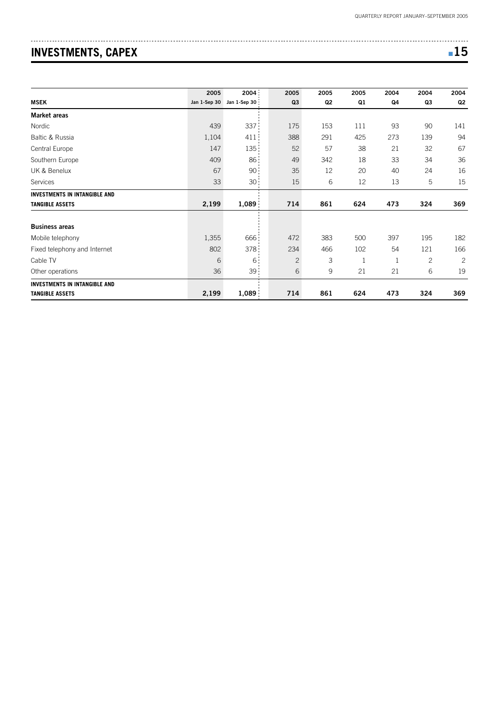# **INVESTMENTS, CAPEX All and STATE SERVICES ASSOCIATES**

| -<br>$\sim$<br>۰.<br>M.<br>- |
|------------------------------|
|------------------------------|

|                                      | 2005         | 2004             | 2005           | 2005 | 2005 | 2004         | 2004         | 2004           |
|--------------------------------------|--------------|------------------|----------------|------|------|--------------|--------------|----------------|
| <b>MSEK</b>                          | Jan 1-Sep 30 | Jan 1-Sep 30     | Q <sub>3</sub> | Q2   | Q1   | Q4           | Q3           | Q <sub>2</sub> |
| <b>Market areas</b>                  |              |                  |                |      |      |              |              |                |
| Nordic                               | 439          | 337              | 175            | 153  | 111  | 93           | 90           | 141            |
| Baltic & Russia                      | 1,104        | 411              | 388            | 291  | 425  | 273          | 139          | 94             |
| Central Europe                       | 147          | 135              | 52             | 57   | 38   | 21           | 32           | 67             |
| Southern Europe                      | 409          | 86 <sub>1</sub>  | 49             | 342  | 18   | 33           | 34           | 36             |
| UK & Benelux                         | 67           | 90:              | 35             | 12   | 20   | 40           | 24           | 16             |
| Services                             | 33           | 30 <sub>1</sub>  | 15             | 6    | 12   | 13           | 5            | 15             |
| <b>INVESTMENTS IN INTANGIBLE AND</b> |              |                  |                |      |      |              |              |                |
| <b>TANGIBLE ASSETS</b>               | 2,199        | 1,089            | 714            | 861  | 624  | 473          | 324          | 369            |
| <b>Business areas</b>                |              |                  |                |      |      |              |              |                |
| Mobile telephony                     | 1,355        | 666              | 472            | 383  | 500  | 397          | 195          | 182            |
| Fixed telephony and Internet         | 802          | 378 <sub>1</sub> | 234            | 466  | 102  | 54           | 121          | 166            |
| Cable TV                             | 6            | 6 <sup>1</sup>   | $\overline{c}$ | 3    | 1    | $\mathbf{1}$ | $\mathbf{2}$ | $\mathbf{2}$   |
| Other operations                     | 36           | 39:              | 6              | 9    | 21   | 21           | 6            | 19             |
| <b>INVESTMENTS IN INTANGIBLE AND</b> |              |                  |                |      |      |              |              |                |
| <b>TANGIBLE ASSETS</b>               | 2,199        | 1,089            | 714            | 861  | 624  | 473          | 324          | 369            |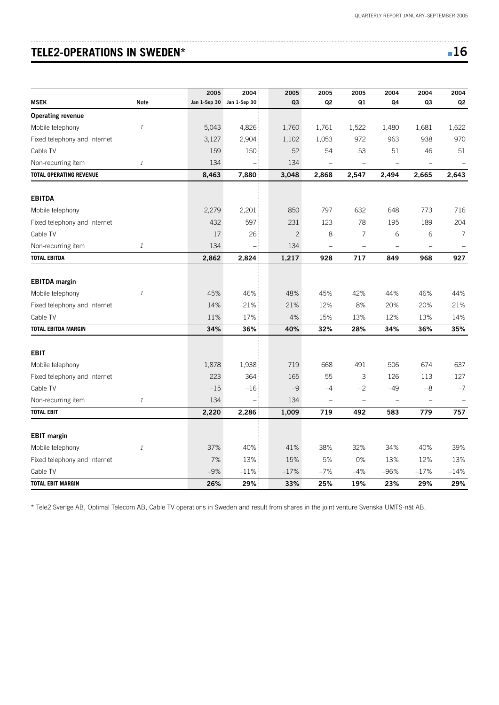# **TELE2-OPERATIONS IN SWEDEN\*** ■ **16**

| ۰.<br>×<br>$\sim$ |
|-------------------|
|-------------------|

|                                |                | 2005  | 2004                      | 2005       | 2005                                                                         | 2005     | 2004     | 2004     | 2004           |
|--------------------------------|----------------|-------|---------------------------|------------|------------------------------------------------------------------------------|----------|----------|----------|----------------|
| <b>MSEK</b>                    | <b>Note</b>    |       | Jan 1-Sep 30 Jan 1-Sep 30 | Q3         | Q <sub>2</sub>                                                               | Q1       | Q4       | Q3       | Q <sub>2</sub> |
| <b>Operating revenue</b>       |                |       |                           |            |                                                                              |          |          |          |                |
| Mobile telephony               | $\mathbf{1}$   | 5,043 | 4,826                     | 1,760      | 1,761                                                                        | 1,522    | 1,480    | 1,681    | 1,622          |
| Fixed telephony and Internet   |                | 3,127 | 2,904                     | 1,102      | 1,053                                                                        | 972      | 963      | 938      | 970            |
| Cable TV                       |                | 159   | 150                       | 52         | 54                                                                           | 53       | 51       | 46       | 51             |
| Non-recurring item             | $\mathbf{1}$   | 134   | $\overline{\phantom{a}}$  | 134        | $\hspace{0.1in} \hspace{0.1in} \hspace{0.1in} \hspace{0.1in} \hspace{0.1in}$ | $\equiv$ |          | $\equiv$ |                |
| <b>TOTAL OPERATING REVENUE</b> |                | 8,463 | 7,880                     | 3,048      | 2,868                                                                        | 2,547    | 2,494    | 2,665    | 2,643          |
|                                |                |       |                           |            |                                                                              |          |          |          |                |
| <b>EBITDA</b>                  |                |       |                           |            |                                                                              |          |          |          |                |
| Mobile telephony               |                | 2,279 | 2,201                     | 850        | 797                                                                          | 632      | 648      | 773      | 716            |
| Fixed telephony and Internet   |                | 432   | 597                       | 231        | 123                                                                          | 78       | 195      | 189      | 204            |
| Cable TV                       |                | 17    | 26                        | $\sqrt{2}$ | 8                                                                            | 7        | 6        | 6        | 7              |
| Non-recurring item             | 1              | 134   |                           | 134        | $\equiv$                                                                     | $\equiv$ |          |          |                |
| <b>TOTAL EBITDA</b>            |                | 2,862 | 2,824                     | 1,217      | 928                                                                          | 717      | 849      | 968      | 927            |
| <b>EBITDA</b> margin           |                |       |                           |            |                                                                              |          |          |          |                |
| Mobile telephony               | $\mathbf{1}$   | 45%   | 46%                       | 48%        | 45%                                                                          | 42%      | 44%      | 46%      | 44%            |
| Fixed telephony and Internet   |                | 14%   | 21%                       | 21%        | 12%                                                                          | $8%$     | 20%      | 20%      | 21%            |
| Cable TV                       |                | 11%   | 17%                       | 4%         | 15%                                                                          | 13%      | 12%      | 13%      | 14%            |
| <b>TOTAL EBITDA MARGIN</b>     |                | 34%   | 36%                       | 40%        | 32%                                                                          | 28%      | 34%      | 36%      | 35%            |
| <b>EBIT</b>                    |                |       |                           |            |                                                                              |          |          |          |                |
| Mobile telephony               |                | 1,878 | 1,938                     | 719        | 668                                                                          | 491      | 506      | 674      | 637            |
| Fixed telephony and Internet   |                | 223   | 364                       | 165        | 55                                                                           | 3        | 126      | 113      | 127            |
| Cable TV                       |                | $-15$ | $-16$                     | $-9$       | $-4$                                                                         | $-2$     | $-49$    | $-8$     | $-7$           |
| Non-recurring item             | $\mathfrak{1}$ | 134   | $\equiv$                  | 134        | $\hspace{0.1in} \hspace{0.1in} \hspace{0.1in} \hspace{0.1in} \hspace{0.1in}$ | $\equiv$ | $\equiv$ | $\equiv$ |                |
| <b>TOTAL EBIT</b>              |                | 2,220 | 2,286                     | 1,009      | 719                                                                          | 492      | 583      | 779      | 757            |
|                                |                |       |                           |            |                                                                              |          |          |          |                |
| <b>EBIT margin</b>             |                |       |                           |            |                                                                              |          |          |          |                |
| Mobile telephony               | $\it 1$        | 37%   | 40%                       | 41%        | 38%                                                                          | 32%      | 34%      | 40%      | 39%            |
| Fixed telephony and Internet   |                | 7%    | 13%                       | 15%        | 5%                                                                           | 0%       | 13%      | 12%      | 13%            |
| Cable TV                       |                | $-9%$ | $-11\%$                   | $-17%$     | $-7%$                                                                        | $-4%$    | $-96%$   | $-17%$   | $-14%$         |
| <b>TOTAL EBIT MARGIN</b>       |                | 26%   | 29%                       | 33%        | 25%                                                                          | 19%      | 23%      | 29%      | 29%            |

\* Tele2 Sverige AB, Optimal Telecom AB, Cable TV operations in Sweden and result from shares in the joint venture Svenska UMTS-nät AB.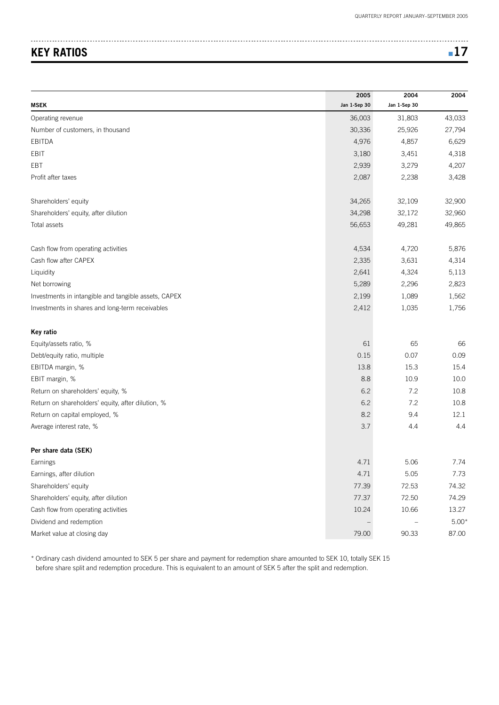# **KEY RATIOS** ■ **17**

|                                                      | 2005         | 2004         | 2004    |
|------------------------------------------------------|--------------|--------------|---------|
| <b>MSEK</b>                                          | Jan 1-Sep 30 | Jan 1-Sep 30 |         |
| Operating revenue                                    | 36,003       | 31,803       | 43,033  |
| Number of customers, in thousand                     | 30,336       | 25,926       | 27,794  |
| EBITDA                                               | 4,976        | 4,857        | 6,629   |
| EBIT                                                 | 3,180        | 3,451        | 4,318   |
| EBT                                                  | 2,939        | 3,279        | 4,207   |
| Profit after taxes                                   | 2,087        | 2,238        | 3,428   |
| Shareholders' equity                                 | 34,265       | 32,109       | 32,900  |
| Shareholders' equity, after dilution                 | 34,298       | 32,172       | 32,960  |
| Total assets                                         | 56,653       | 49,281       | 49,865  |
| Cash flow from operating activities                  | 4,534        | 4,720        | 5,876   |
| Cash flow after CAPEX                                | 2,335        | 3,631        | 4,314   |
| Liquidity                                            | 2,641        | 4,324        | 5,113   |
| Net borrowing                                        | 5,289        | 2,296        | 2,823   |
| Investments in intangible and tangible assets, CAPEX | 2,199        | 1,089        | 1,562   |
| Investments in shares and long-term receivables      | 2,412        | 1,035        | 1,756   |
| Key ratio                                            |              |              |         |
| Equity/assets ratio, %                               | 61           | 65           | 66      |
| Debt/equity ratio, multiple                          | 0.15         | 0.07         | 0.09    |
| EBITDA margin, %                                     | 13.8         | 15.3         | 15.4    |
| EBIT margin, %                                       | 8.8          | 10.9         | 10.0    |
| Return on shareholders' equity, %                    | 6.2          | 7.2          | 10.8    |
| Return on shareholders' equity, after dilution, %    | 6.2          | 7.2          | 10.8    |
| Return on capital employed, %                        | 8.2          | 9.4          | 12.1    |
| Average interest rate, %                             | 3.7          | 4.4          | 4.4     |
| Per share data (SEK)                                 |              |              |         |
| Earnings                                             | 4.71         | 5.06         | 1.74    |
| Earnings, after dilution                             | 4.71         | 5.05         | 7.73    |
| Shareholders' equity                                 | 77.39        | 72.53        | 74.32   |
| Shareholders' equity, after dilution                 | 77.37        | 72.50        | 74.29   |
| Cash flow from operating activities                  | 10.24        | 10.66        | 13.27   |
| Dividend and redemption                              |              |              | $5.00*$ |
| Market value at closing day                          | 79.00        | 90.33        | 87.00   |

\* Ordinary cash dividend amounted to SEK 5 per share and payment for redemption share amounted to SEK 10, totally SEK 15 before share split and redemption procedure. This is equivalent to an amount of SEK 5 after the split and redemption.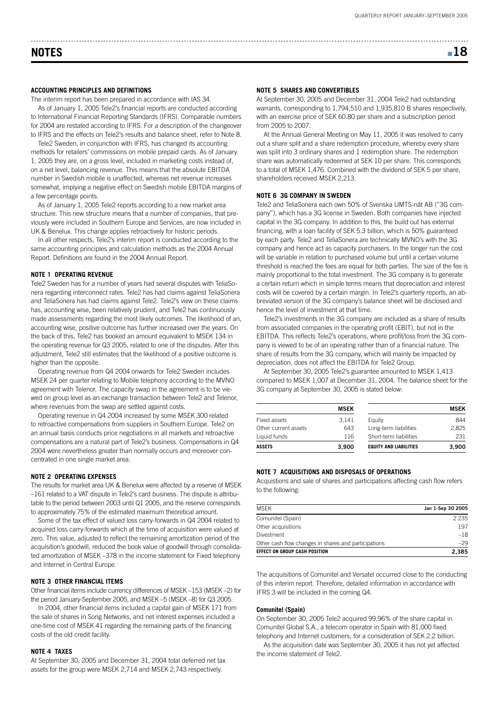# **NOTES** ■ **18**

#### **ACCOUNTING PRINCIPLES AND DEFINITIONS**

The interim report has been prepared in accordance with IAS 34.

As of January 1, 2005 Tele2's financial reports are conducted according to International Financial Reporting Standards (IFRS). Comparable numbers for 2004 are restated according to IFRS. For a description of the changeover to IFRS and the effects on Tele2's results and balance sheet, refer to Note 8.

Tele2 Sweden, in conjunction with IFRS, has changed its accounting methods for retailers' commissions on mobile prepaid cards. As of January 1, 2005 they are, on a gross level, included in marketing costs instead of, on a net level, balancing revenue. This means that the absolute EBITDA number in Swedish mobile is unaffected, whereas net revenue increases somewhat, implying a negative effect on Swedish mobile EBITDA margins of a few percentage points.

As of January 1, 2005 Tele2 reports according to a new market area structure. This new structure means that a number of companies, that previously were included in Southern Europe and Services, are now included in UK & Benelux. This change applies retroactively for historic periods.

In all other respects, Tele2's interim report is conducted according to the same accounting principles and calculation methods as the 2004 Annual Report. Definitions are found in the 2004 Annual Report.

#### **NOTE 1 OPERATING REVENUE**

Tele2 Sweden has for a number of years had several disputes with TeliaSonera regarding interconnect rates. Tele2 has had claims against TeliaSonera and TeliaSonera has had claims against Tele2. Tele2's view on these claims has, accounting wise, been relatively prudent, and Tele2 has continuously made assessments regarding the most likely outcomes. The likelihood of an, accounting wise, positive outcome has further increased over the years. On the back of this, Tele2 has booked an amount equivalent to MSEK 134 in the operating revenue for Q3 2005, related to one of the disputes. After this adjustment, Tele2 still estimates that the likelihood of a positive outcome is higher than the opposite.

Operating revenue from Q4 2004 onwards for Tele2 Sweden includes MSEK 24 per quarter relating to Mobile telephony according to the MVNO agreement with Telenor. The capacity swap in the agreement is to be viewed on group level as an exchange transaction between Tele2 and Telenor, where revenues from the swap are settled against costs.

Operating revenue in Q4 2004 increased by some MSEK 300 related to retroactive compensations from suppliers in Southern Europe. Tele2 on an annual basis conducts price negotiations in all markets and retroactive compensations are a natural part of Tele2's business. Compensations in Q4 2004 were nevertheless greater than normally occurs and moreover concentrated in one single market area.

#### **NOTE 2 OPERATING EXPENSES**

The results for market area UK & Benelux were affected by a reserve of MSEK –161 related to a VAT dispute in Tele2's card business. The dispute is attributable to the period between 2003 until Q1 2005, and the reserve corresponds to approximately 75% of the estimated maximum theoretical amount.

Some of the tax effect of valued loss carry-forwards in Q4 2004 related to acquired loss carry-forwards which at the time of acquisition were valued at zero. This value, adjusted to reflect the remaining amortization period of the acquisition's goodwill, reduced the book value of goodwill through consolidated amortization of MSEK –378 in the income statement for Fixed telephony and Internet in Central Europe.

#### **NOTE 3 OTHER FINANCIAL ITEMS**

Other financial items include currency differences of MSEK –153 (MSEK –2) for the period January-September 2005, and MSEK –5 (MSEK –8) for Q3 2005.

In 2004, other financial items included a capital gain of MSEK 171 from the sale of shares in Song Networks, and net interest expenses included a one-time cost of MSEK 41 regarding the remaining parts of the financing costs of the old credit facility.

#### **NOTE 4 TAXES**

At September 30, 2005 and December 31, 2004 total deferred net tax assets for the group were MSEK 2,714 and MSEK 2,743 respectively.

#### **NOTE 5 SHARES AND CONVERTIBLES**

At September 30, 2005 and December 31, 2004 Tele2 had outstanding warrants, corresponding to 1,794,510 and 1,935,810 B shares respectively, with an exercise price of SEK 60.80 per share and a subscription period from 2005 to 2007.

At the Annual General Meeting on May 11, 2005 it was resolved to carry out a share split and a share redemption procedure, whereby every share was split into 3 ordinary shares and 1 redemption share. The redemption share was automatically redeemed at SEK 10 per share. This corresponds to a total of MSEK 1,476. Combined with the dividend of SEK 5 per share, shareholders received MSEK 2,213.

#### **NOTE 6 3G COMPANY IN SWEDEN**

Tele2 and TeliaSonera each own 50% of Svenska UMTS-nät AB ("3G company"), which has a 3G license in Sweden. Both companies have injected capital in the 3G company. In addition to this, the build out has external financing, with a loan facility of SEK 5.3 billion, which is 50% guaranteed by each party. Tele2 and TeliaSonera are technically MVNO's with the 3G company and hence act as capacity purchasers. In the longer run the cost will be variable in relation to purchased volume but until a certain volume threshold is reached the fees are equal for both parties. The size of the fee is mainly proportional to the total investment. The 3G company is to generate a certain return which in simple terms means that depreciation and interest costs will be covered by a certain margin. In Tele2's quarterly reports, an abbreviated version of the 3G company's balance sheet will be disclosed and hence the level of investment at that time.

Tele2's investments in the 3G company are included as a share of results from associated companies in the operating profit (EBIT), but not in the EBITDA. This reflects Tele2's operations, where profit/loss from the 3G company is viewed to be of an operating rather than of a financial nature. The share of results from the 3G company, which will mainly be impacted by depreciation, does not affect the EBITDA for Tele2 Group.

At September 30, 2005 Tele2's guarantee amounted to MSEK 1,413 compared to MSEK 1,007 at December 31, 2004. The balance sheet for the 3G company at September 30, 2005 is stated below:

|                      | <b>MSEK</b> |                               | <b>MSEK</b> |
|----------------------|-------------|-------------------------------|-------------|
| Fixed assets         | 3.141       | Equity                        | 844         |
| Other current assets | 643         | Long-term liabilities         | 2.825       |
| Liquid funds         | 116         | Short-term liabilities        | 231         |
| <b>ASSETS</b>        | 3.900       | <b>EQUITY AND LIABILITIES</b> | 3.900       |

#### **NOTE 7 ACQUISITIONS AND DISPOSALS OF OPERATIONS**

Acquistions and sale of shares and participations affecting cash flow refers to the following:

| <b>MSFK</b>                                          | Jan 1-Sep 30 2005 |
|------------------------------------------------------|-------------------|
| Comunitel (Spain)                                    | 2 2 3 5           |
| Other acquisitions                                   | 197               |
| Divestment                                           | $-18$             |
| Other cash flow changes in shares and participations | $-29$             |
| EFFECT ON GROUP CASH POSITION                        | 2.385             |

The acquisitions of Comunitel and Versatel occurred close to the conducting of this interim report. Therefore, detailed information in accordance with IFRS 3 will be included in the coming Q4.

#### **Comunitel (Spain)**

On September 30, 2005 Tele2 acquired 99.96% of the share capital in Comunitel Global S.A., a telecom operator in Spain with 81,000 fixed telephony and Internet customers, for a consideration of SEK 2.2 billion.

As the acquisition date was September 30, 2005 it has not yet affected the income statement of Tele2.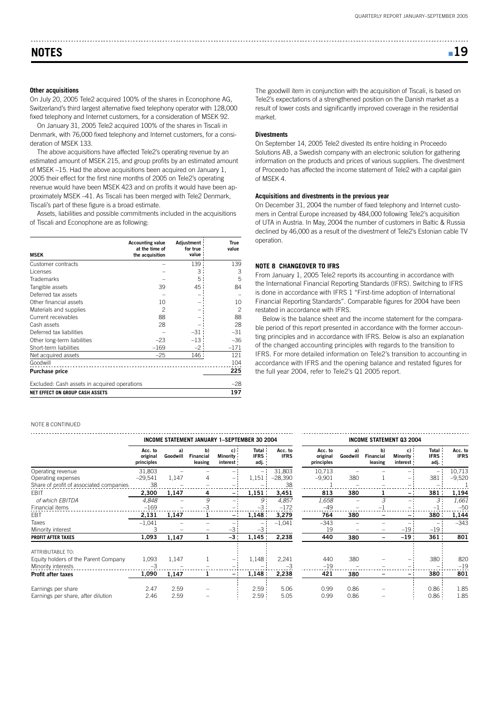#### **Other acquisitions**

On July 20, 2005 Tele2 acquired 100% of the shares in Econophone AG, Switzerland's third largest alternative fixed telephony operator with 128,000 fixed telephony and Internet customers, for a consideration of MSEK 92.

On January 31, 2005 Tele2 acquired 100% of the shares in Tiscali in Denmark, with 76,000 fixed telephony and Internet customers, for a consideration of MSEK 133.

The above acquisitions have affected Tele2's operating revenue by an estimated amount of MSEK 215, and group profits by an estimated amount of MSEK –15. Had the above acquisitions been acquired on January 1, 2005 their effect for the first nine months of 2005 on Tele2's operating revenue would have been MSEK 423 and on profits it would have been approximately MSEK –41. As Tiscali has been merged with Tele2 Denmark, Tiscali's part of these figure is a broad estimate.

Assets, liabilities and possible commitments included in the acquisitions of Tiscali and Econophone are as following:

| <b>MSEK</b>                                  | <b>Accounting value</b><br>at the time of<br>the acquisition | Adjustment<br>for true<br>value | True<br>value |
|----------------------------------------------|--------------------------------------------------------------|---------------------------------|---------------|
| Customer contracts                           |                                                              | 139                             | 139           |
| Licenses                                     |                                                              | 3                               | 3             |
| <b>Trademarks</b>                            |                                                              | 5                               | 5             |
| Tangible assets                              | 39                                                           | 45                              | 84            |
| Deferred tax assets                          |                                                              |                                 |               |
| Other financial assets                       | 10                                                           |                                 | 10            |
| Materials and supplies                       | 2                                                            |                                 | 2             |
| Current receivables                          | 88                                                           |                                 | 88            |
| Cash assets                                  | 28                                                           |                                 | 28            |
| Deferred tax liabilities                     |                                                              | $-31$                           | $-31$         |
| Other long-term liabilities                  | $-23$                                                        | $-13:$                          | $-36$         |
| Short-term liabilities                       | $-169$                                                       | -2 :                            | $-171$        |
| Net acquired assets                          | $-25$                                                        | 146 :                           | 121           |
| Goodwill                                     |                                                              |                                 | 104           |
| <b>Purchase price</b>                        |                                                              |                                 | 225           |
| Excluded: Cash assets in acquired operations | $-28$                                                        |                                 |               |
| NET EFFECT ON GROUP CASH ASSETS              |                                                              |                                 | 197           |

NOTE 8 CONTINUED

**INCOME STATEMENT JANUARY 1–SEPTEMBER 30 2004 INCOME STATEMENT Q3 2004 Acc. to b) Total Acc. to a) c) Minority IFRS IFRS Goodwill original Financial leasing principles interest adj.** Operating revenue 31,803 – – – – 131,803<br>Operating expenses – 29.541 1.147 4 – 1.151 – 28.390 Operating expenses  $-29,541 \quad 1,147 \quad 4 \quad -1,151 \quad -28,390$ Share of profit of associated companies  $\frac{38}{1000}$  –  $\frac{38}{1000}$  –  $\frac{38}{1000}$  –  $\frac{38}{1000}$ EBIT **2,300 1,147 4 – 1,151 3,451 813 380 1 – 381 1,194** of which EBITDA 4,848 – 9 – 9 4,857 1,658 – 3 – 3 1,661 Financial items –169 – –3 – –3 –172 –49 – –1 – –1 –50 EBT **2,131 1,147 1 – 1,148 3,279 764 380 – – 380 1,144** Taxes –1,041 – – – – –1,041 –343 – – – – –343 Minority interest 3 – – –3 –3 19 – – –19 –19 **PROFIT AFTER TAXES 1,093 1,147 1 –3 1,145 2,238 440 380 – –19 361 801** ATTRIBUTABLE TO: Equity holders of the Parent Company  $1,093$   $1,147$   $1$   $-1$   $1,148$   $2,241$ Minority interests –3 – – – – –3 –19 – – – – –19 **Profit after taxes 1,090 1,147 1 – 1,148 2,238 421 380 – – 380 801** Earnings per share 2.47 2.59 – 2.59 5.06 0.99 0.86 – 0.86 1.85 Earnings per share, after dilution  $2.46$   $2.59$   $2.59$   $2.59$   $5.05$ 

The goodwill item in conjunction with the acquisition of Tiscali, is based on Tele2's expectations of a strengthened position on the Danish market as a result of lower costs and significantly improved coverage in the residential market.

#### **Divestments**

On September 14, 2005 Tele2 divested its entire holding in Proceedo Solutions AB, a Swedish company with an electronic solution for gathering information on the products and prices of various suppliers. The divestment of Proceedo has affected the income statement of Tele2 with a capital gain of MSEK 4.

#### **Acquisitions and divestments in the previous year**

On December 31, 2004 the number of fixed telephony and Internet customers in Central Europe increased by 484,000 following Tele2's acquisition of UTA in Austria. In May, 2004 the number of customers in Baltic & Russia declined by 46,000 as a result of the divestment of Tele2's Estonian cable TV operation.

#### **NOTE 8 CHANGEOVER TO IFRS**

From January 1, 2005 Tele2 reports its accounting in accordance with the International Financial Reporting Standards (IFRS). Switching to IFRS is done in accordance with IFRS 1 "First-time adoption of International Financial Reporting Standards". Comparable figures for 2004 have been restated in accordance with IFRS.

Below is the balance sheet and the income statement for the comparable period of this report presented in accordance with the former accounting principles and in accordance with IFRS. Below is also an explanation of the changed accounting principles with regards to the transition to IFRS. For more detailed information on Tele2's transition to accounting in accordance with IFRS and the opening balance and restated figures for the full year 2004, refer to Tele2's Q1 2005 report.

| INCOME STATEMENT U3 2004          |                |                            |                            |                                     |                         |  |  |
|-----------------------------------|----------------|----------------------------|----------------------------|-------------------------------------|-------------------------|--|--|
| Acc. to<br>original<br>principles | a)<br>Goodwill | b)<br>Financial<br>leasing | c)<br>Minority<br>interest | <b>Total</b><br><b>IFRS</b><br>adj. | Acc. to<br><b>IFRS</b>  |  |  |
| 10,713<br>$-9,901$                | 380            |                            |                            | 381                                 | 10,713<br>$-9,520$      |  |  |
| 813                               | 380            | 1                          |                            | 381                                 | 1,194                   |  |  |
| 1,658<br>$-49$<br>764             | 380            | 3<br>-1                    |                            | 3<br>$-1:$<br>380                   | 1,661<br>$-50$<br>1,144 |  |  |
| $-343$<br>19                      |                |                            | $-19:$                     | $-19$                               | $-343$                  |  |  |
| 440                               | 380            |                            | $-19:$                     | 361                                 | 801                     |  |  |
| 440<br>$-19$<br>421               | 380            |                            |                            | 380                                 | 820<br>$-19$            |  |  |
|                                   | 380            |                            |                            | 380                                 | 801                     |  |  |
| 0.99<br>0.99                      | 0.86<br>0.86   |                            |                            | 0.86<br>0.86                        | 1.85<br>1.85            |  |  |